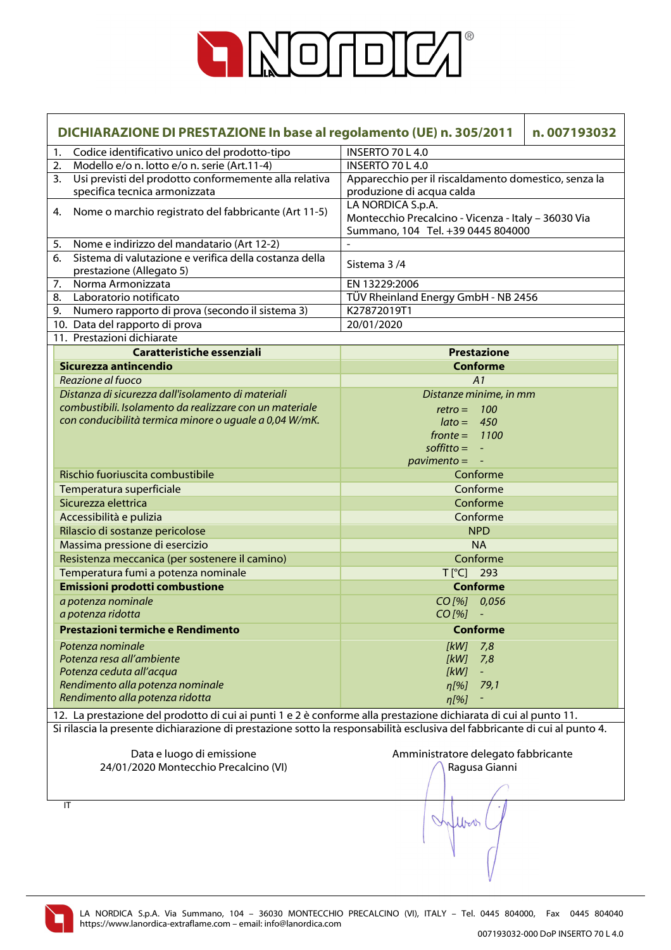

|    | DICHIARAZIONE DI PRESTAZIONE In base al regolamento (UE) n. 305/2011                                                      | n.007193032                                          |
|----|---------------------------------------------------------------------------------------------------------------------------|------------------------------------------------------|
| 1. | Codice identificativo unico del prodotto-tipo                                                                             | <b>INSERTO 70 L 4.0</b>                              |
| 2. | Modello e/o n. lotto e/o n. serie (Art.11-4)                                                                              | INSERTO 70 L 4.0                                     |
| 3. | Usi previsti del prodotto conformemente alla relativa                                                                     | Apparecchio per il riscaldamento domestico, senza la |
|    | specifica tecnica armonizzata                                                                                             | produzione di acqua calda                            |
| 4. | Nome o marchio registrato del fabbricante (Art 11-5)                                                                      | LA NORDICA S.p.A.                                    |
|    |                                                                                                                           | Montecchio Precalcino - Vicenza - Italy - 36030 Via  |
|    |                                                                                                                           | Summano, 104 Tel. +39 0445 804000                    |
| 5. | Nome e indirizzo del mandatario (Art 12-2)                                                                                |                                                      |
| 6. | Sistema di valutazione e verifica della costanza della                                                                    | Sistema 3/4                                          |
| 7. | prestazione (Allegato 5)<br>Norma Armonizzata                                                                             | EN 13229:2006                                        |
| 8. | Laboratorio notificato                                                                                                    | TÜV Rheinland Energy GmbH - NB 2456                  |
| 9. | Numero rapporto di prova (secondo il sistema 3)                                                                           | K27872019T1                                          |
|    | 10. Data del rapporto di prova                                                                                            | 20/01/2020                                           |
|    | 11. Prestazioni dichiarate                                                                                                |                                                      |
|    | Caratteristiche essenziali                                                                                                | <b>Prestazione</b>                                   |
|    | Sicurezza antincendio                                                                                                     | <b>Conforme</b>                                      |
|    | Reazione al fuoco                                                                                                         | A1                                                   |
|    | Distanza di sicurezza dall'isolamento di materiali                                                                        | Distanze minime, in mm                               |
|    | combustibili. Isolamento da realizzare con un materiale                                                                   | $retro = 100$                                        |
|    | con conducibilità termica minore o uguale a 0,04 W/mK.                                                                    | $\text{lato} = 450$                                  |
|    |                                                                                                                           | $fronte = 1100$                                      |
|    |                                                                                                                           | $\text{soft}$ = $-$                                  |
|    |                                                                                                                           | $\frac{1}{2}$ pavimento = $-$                        |
|    | Rischio fuoriuscita combustibile                                                                                          | Conforme                                             |
|    | Temperatura superficiale                                                                                                  | Conforme                                             |
|    | Sicurezza elettrica                                                                                                       | Conforme                                             |
|    | Accessibilità e pulizia                                                                                                   | Conforme                                             |
|    | Rilascio di sostanze pericolose                                                                                           | <b>NPD</b>                                           |
|    | Massima pressione di esercizio                                                                                            | <b>NA</b>                                            |
|    | Resistenza meccanica (per sostenere il camino)                                                                            | Conforme                                             |
|    | Temperatura fumi a potenza nominale                                                                                       | T[°C] 293                                            |
|    | Emissioni prodotti combustione                                                                                            | <b>Conforme</b>                                      |
|    | a potenza nominale                                                                                                        | CO[%] 0,056                                          |
|    | a potenza ridotta                                                                                                         | $CO$ [%]<br>$\blacksquare$                           |
|    | Prestazioni termiche e Rendimento                                                                                         | <b>Conforme</b>                                      |
|    | Potenza nominale                                                                                                          | 7,8<br>[kW]                                          |
|    | Potenza resa all'ambiente                                                                                                 | [kW]<br>7,8                                          |
|    | Potenza ceduta all'acqua                                                                                                  | [kW]                                                 |
|    | Rendimento alla potenza nominale                                                                                          | 79,1<br>$\eta$ [%]                                   |
|    | Rendimento alla potenza ridotta                                                                                           | n[%]                                                 |
|    | 12. La prestazione del prodotto di cui ai punti 1 e 2 è conforme alla prestazione dichiarata di cui al punto 11.          |                                                      |
|    | Si rilascia la presente dichiarazione di prestazione sotto la responsabilità esclusiva del fabbricante di cui al punto 4. |                                                      |
|    |                                                                                                                           |                                                      |
|    | Data e luogo di emissione                                                                                                 | Amministratore delegato fabbricante                  |
|    | 24/01/2020 Montecchio Precalcino (VI)                                                                                     | Ragusa Gianni                                        |
|    |                                                                                                                           |                                                      |
|    | IT                                                                                                                        |                                                      |
|    |                                                                                                                           |                                                      |
|    |                                                                                                                           | Urv                                                  |
|    |                                                                                                                           |                                                      |
|    |                                                                                                                           |                                                      |

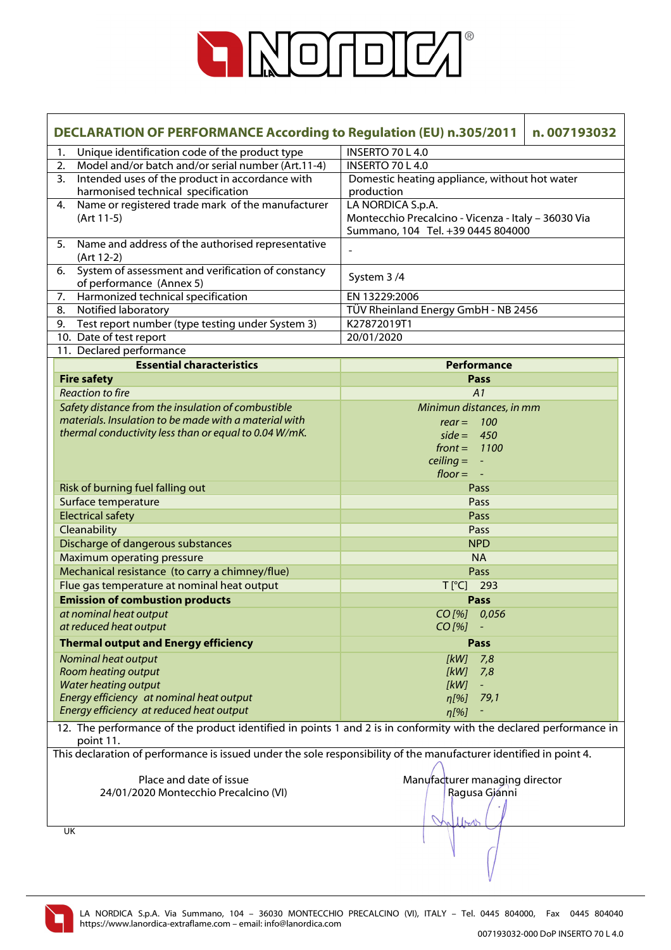

|    | <b>DECLARATION OF PERFORMANCE According to Regulation (EU) n.305/2011</b><br>n.007193032                                        |                                                     |  |  |  |
|----|---------------------------------------------------------------------------------------------------------------------------------|-----------------------------------------------------|--|--|--|
| 1. | Unique identification code of the product type                                                                                  | <b>INSERTO 70 L 4.0</b>                             |  |  |  |
| 2. | Model and/or batch and/or serial number (Art.11-4)                                                                              | INSERTO 70 L 4.0                                    |  |  |  |
| 3. | Intended uses of the product in accordance with                                                                                 | Domestic heating appliance, without hot water       |  |  |  |
|    | harmonised technical specification                                                                                              | production                                          |  |  |  |
| 4. | Name or registered trade mark of the manufacturer                                                                               | LA NORDICA S.p.A.                                   |  |  |  |
|    | (Art 11-5)                                                                                                                      | Montecchio Precalcino - Vicenza - Italy - 36030 Via |  |  |  |
|    |                                                                                                                                 | Summano, 104 Tel. +39 0445 804000                   |  |  |  |
| 5. | Name and address of the authorised representative<br>(Art 12-2)                                                                 |                                                     |  |  |  |
| 6. | System of assessment and verification of constancy                                                                              |                                                     |  |  |  |
|    | of performance (Annex 5)                                                                                                        | System 3/4                                          |  |  |  |
|    | 7. Harmonized technical specification                                                                                           | EN 13229:2006                                       |  |  |  |
|    | Notified laboratory<br>8.                                                                                                       | TÜV Rheinland Energy GmbH - NB 2456                 |  |  |  |
|    | 9. Test report number (type testing under System 3)                                                                             | K27872019T1                                         |  |  |  |
|    | 10. Date of test report                                                                                                         | 20/01/2020                                          |  |  |  |
|    | 11. Declared performance                                                                                                        |                                                     |  |  |  |
|    | <b>Essential characteristics</b>                                                                                                | Performance                                         |  |  |  |
|    | <b>Fire safety</b>                                                                                                              | Pass                                                |  |  |  |
|    | <b>Reaction to fire</b>                                                                                                         | A1                                                  |  |  |  |
|    | Safety distance from the insulation of combustible                                                                              | Minimun distances, in mm                            |  |  |  |
|    | materials. Insulation to be made with a material with                                                                           | $rear = 100$                                        |  |  |  |
|    | thermal conductivity less than or equal to 0.04 W/mK.                                                                           | side = $450$                                        |  |  |  |
|    |                                                                                                                                 | front = $1100$                                      |  |  |  |
|    |                                                                                                                                 | $\text{ceiling} = -$                                |  |  |  |
|    |                                                                                                                                 | $floor = -$                                         |  |  |  |
|    | Risk of burning fuel falling out                                                                                                | Pass                                                |  |  |  |
|    | Surface temperature                                                                                                             | Pass                                                |  |  |  |
|    | <b>Electrical safety</b>                                                                                                        | Pass<br>Pass                                        |  |  |  |
|    | Cleanability                                                                                                                    | <b>NPD</b>                                          |  |  |  |
|    | Discharge of dangerous substances<br><b>Maximum operating pressure</b>                                                          | <b>NA</b>                                           |  |  |  |
|    | Mechanical resistance (to carry a chimney/flue)                                                                                 | Pass                                                |  |  |  |
|    | Flue gas temperature at nominal heat output                                                                                     | T[°C] 293                                           |  |  |  |
|    | <b>Emission of combustion products</b>                                                                                          | Pass                                                |  |  |  |
|    | at nominal heat output                                                                                                          | CO[%] 0,056                                         |  |  |  |
|    | at reduced heat output                                                                                                          | $CO$ [%]                                            |  |  |  |
|    | <b>Thermal output and Energy efficiency</b>                                                                                     | Pass                                                |  |  |  |
|    |                                                                                                                                 |                                                     |  |  |  |
|    | Nominal heat output<br>Room heating output                                                                                      | [kW]<br>7,8<br>[kW]<br>7,8                          |  |  |  |
|    | <b>Water heating output</b>                                                                                                     | [kW]<br>$\equiv$                                    |  |  |  |
|    | Energy efficiency at nominal heat output                                                                                        | $\eta$ [%]<br>79,1                                  |  |  |  |
|    | Energy efficiency at reduced heat output                                                                                        | $\eta$ [%]                                          |  |  |  |
|    | 12. The performance of the product identified in points 1 and 2 is in conformity with the declared performance in               |                                                     |  |  |  |
|    | point 11.<br>This declaration of performance is issued under the sole responsibility of the manufacturer identified in point 4. |                                                     |  |  |  |
|    |                                                                                                                                 |                                                     |  |  |  |
|    | Place and date of issue                                                                                                         | Manufacturer managing director                      |  |  |  |
|    | 24/01/2020 Montecchio Precalcino (VI)                                                                                           | Ragusa Gjánni                                       |  |  |  |
|    |                                                                                                                                 |                                                     |  |  |  |
|    |                                                                                                                                 | 11M                                                 |  |  |  |
|    | UK                                                                                                                              |                                                     |  |  |  |
|    |                                                                                                                                 |                                                     |  |  |  |
|    |                                                                                                                                 |                                                     |  |  |  |
|    |                                                                                                                                 |                                                     |  |  |  |

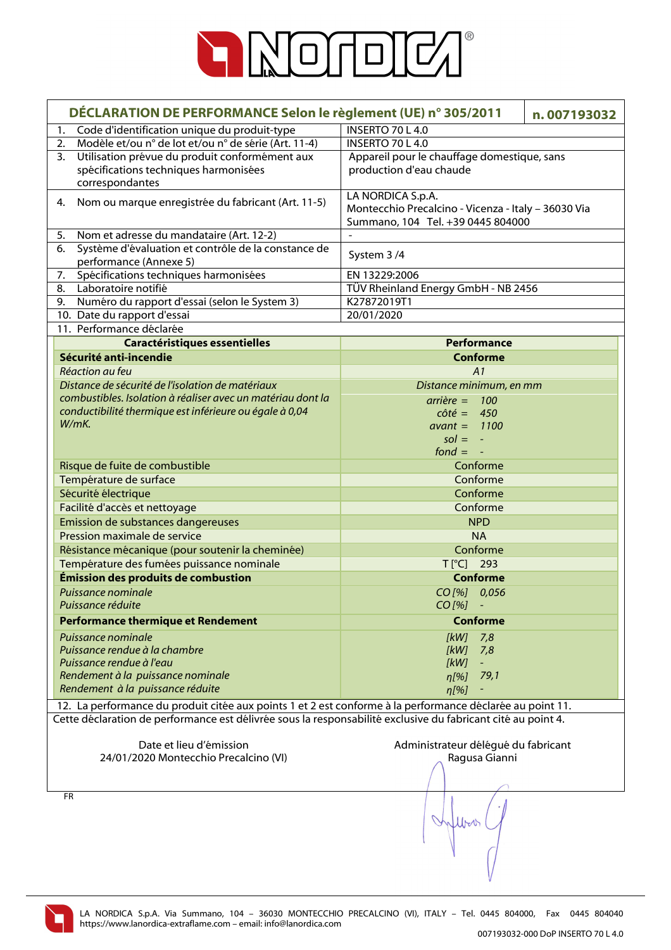

| DÉCLARATION DE PERFORMANCE Selon le règlement (UE) n° 305/2011                                                   |                                                                                                               | n.007193032 |
|------------------------------------------------------------------------------------------------------------------|---------------------------------------------------------------------------------------------------------------|-------------|
| Code d'identification unique du produit-type<br>1.                                                               | INSERTO 70 L 4.0                                                                                              |             |
| Modèle et/ou n° de lot et/ou n° de série (Art. 11-4)<br>2.                                                       | <b>INSERTO 70 L 4.0</b>                                                                                       |             |
| Utilisation prévue du produit conformément aux<br>3.<br>spécifications techniques harmonisées<br>correspondantes | Appareil pour le chauffage domestique, sans<br>production d'eau chaude                                        |             |
| Nom ou marque enregistrée du fabricant (Art. 11-5)<br>4.                                                         | LA NORDICA S.p.A.<br>Montecchio Precalcino - Vicenza - Italy - 36030 Via<br>Summano, 104 Tel. +39 0445 804000 |             |
| Nom et adresse du mandataire (Art. 12-2)<br>5.                                                                   |                                                                                                               |             |
| Système d'évaluation et contrôle de la constance de<br>6.<br>performance (Annexe 5)                              | System 3/4                                                                                                    |             |
| Spécifications techniques harmonisées<br>7.                                                                      | EN 13229:2006                                                                                                 |             |
| Laboratoire notifié<br>8.                                                                                        | TÜV Rheinland Energy GmbH - NB 2456                                                                           |             |
| Numéro du rapport d'essai (selon le System 3)<br>9.                                                              | K27872019T1                                                                                                   |             |
| 10. Date du rapport d'essai                                                                                      | 20/01/2020                                                                                                    |             |
| 11. Performance déclarée                                                                                         |                                                                                                               |             |
| <b>Caractéristiques essentielles</b>                                                                             | <b>Performance</b>                                                                                            |             |
| Sécurité anti-incendie                                                                                           | <b>Conforme</b>                                                                                               |             |
| Réaction au feu                                                                                                  | A1                                                                                                            |             |
| Distance de sécurité de l'isolation de matériaux                                                                 | Distance minimum, en mm                                                                                       |             |
| combustibles. Isolation à réaliser avec un matériau dont la                                                      | $arrière = 100$                                                                                               |             |
| conductibilité thermique est inférieure ou égale à 0,04                                                          | $c \hat{o} t \hat{e} = 450$                                                                                   |             |
| W/mK                                                                                                             | $avant = 1100$                                                                                                |             |
|                                                                                                                  | $sol = -$                                                                                                     |             |
|                                                                                                                  | $f$ ond = $-$                                                                                                 |             |
| Risque de fuite de combustible                                                                                   | Conforme                                                                                                      |             |
|                                                                                                                  |                                                                                                               |             |
| Température de surface                                                                                           | Conforme                                                                                                      |             |
| Sécurité électrique                                                                                              | Conforme                                                                                                      |             |
| Facilité d'accès et nettoyage                                                                                    | Conforme                                                                                                      |             |
| Emission de substances dangereuses                                                                               | <b>NPD</b>                                                                                                    |             |
| Pression maximale de service                                                                                     | <b>NA</b>                                                                                                     |             |
| Résistance mécanique (pour soutenir la cheminée)                                                                 | Conforme                                                                                                      |             |
| Température des fumées puissance nominale                                                                        | T[°C] 293                                                                                                     |             |
| Émission des produits de combustion                                                                              | <b>Conforme</b>                                                                                               |             |
| Puissance nominale                                                                                               | CO[%] 0,056                                                                                                   |             |
| Puissance réduite                                                                                                | $CO$ [%]                                                                                                      |             |
| <b>Performance thermique et Rendement</b>                                                                        | <b>Conforme</b>                                                                                               |             |
| Puissance nominale                                                                                               | [kW]<br>7,8                                                                                                   |             |
| Puissance rendue à la chambre                                                                                    | [kW]<br>7,8                                                                                                   |             |
| Puissance rendue à l'eau                                                                                         | [kW]<br>$\omega_{\rm c}$                                                                                      |             |
| Rendement à la puissance nominale                                                                                | $\eta$ [%]<br>79,1                                                                                            |             |
| Rendement à la puissance réduite                                                                                 | $\eta$ [%]                                                                                                    |             |
| 12. La performance du produit citée aux points 1 et 2 est conforme à la performance déclarée au point 11.        |                                                                                                               |             |
| Cette déclaration de performance est délivrée sous la responsabilité exclusive du fabricant cité au point 4.     |                                                                                                               |             |
|                                                                                                                  |                                                                                                               |             |
| Date et lieu d'émission                                                                                          | Administrateur délégué du fabricant                                                                           |             |
| 24/01/2020 Montecchio Precalcino (VI)                                                                            | Ragusa Gianni                                                                                                 |             |
|                                                                                                                  |                                                                                                               |             |
|                                                                                                                  |                                                                                                               |             |
| <b>FR</b>                                                                                                        |                                                                                                               |             |
|                                                                                                                  |                                                                                                               |             |

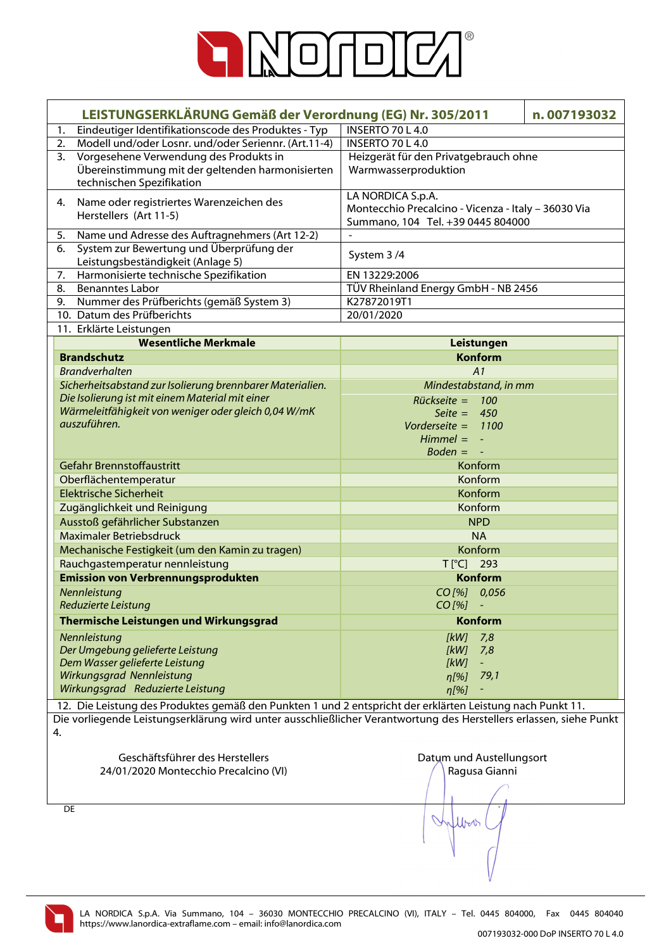

| LEISTUNGSERKLÄRUNG Gemäß der Verordnung (EG) Nr. 305/2011                                                               | n.007193032<br>INSERTO 70 L 4.0                     |
|-------------------------------------------------------------------------------------------------------------------------|-----------------------------------------------------|
| Eindeutiger Identifikationscode des Produktes - Typ<br>1.<br>Modell und/oder Losnr. und/oder Seriennr. (Art.11-4)<br>2. | INSERTO 70 L 4.0                                    |
| Vorgesehene Verwendung des Produkts in<br>3.                                                                            | Heizgerät für den Privatgebrauch ohne               |
| Übereinstimmung mit der geltenden harmonisierten                                                                        | Warmwasserproduktion                                |
| technischen Spezifikation                                                                                               |                                                     |
|                                                                                                                         | LA NORDICA S.p.A.                                   |
| Name oder registriertes Warenzeichen des<br>4.                                                                          | Montecchio Precalcino - Vicenza - Italy - 36030 Via |
| Herstellers (Art 11-5)                                                                                                  | Summano, 104 Tel. +39 0445 804000                   |
| 5.<br>Name und Adresse des Auftragnehmers (Art 12-2)                                                                    |                                                     |
| System zur Bewertung und Überprüfung der<br>6.                                                                          | System 3/4                                          |
| Leistungsbeständigkeit (Anlage 5)                                                                                       |                                                     |
| Harmonisierte technische Spezifikation<br>7.                                                                            | EN 13229:2006                                       |
| 8.<br><b>Benanntes Labor</b>                                                                                            | TÜV Rheinland Energy GmbH - NB 2456                 |
| Nummer des Prüfberichts (gemäß System 3)<br>9.                                                                          | K27872019T1                                         |
| 10. Datum des Prüfberichts                                                                                              | 20/01/2020                                          |
| 11. Erklärte Leistungen                                                                                                 |                                                     |
| <b>Wesentliche Merkmale</b>                                                                                             | Leistungen                                          |
| <b>Brandschutz</b>                                                                                                      | <b>Konform</b>                                      |
| <b>Brandverhalten</b>                                                                                                   | A1                                                  |
| Sicherheitsabstand zur Isolierung brennbarer Materialien.                                                               | Mindestabstand, in mm                               |
| Die Isolierung ist mit einem Material mit einer                                                                         | $Rückseite = 100$                                   |
| Wärmeleitfähigkeit von weniger oder gleich 0,04 W/mK<br>auszuführen.                                                    | Seite = $450$                                       |
|                                                                                                                         | Vorderseite = $1100$                                |
|                                                                                                                         | $Himmel = -$                                        |
| Gefahr Brennstoffaustritt                                                                                               | $Boden = -$                                         |
|                                                                                                                         | Konform<br>Konform                                  |
| Oberflächentemperatur<br><b>Elektrische Sicherheit</b>                                                                  |                                                     |
|                                                                                                                         | Konform                                             |
| Zugänglichkeit und Reinigung                                                                                            | Konform                                             |
| Ausstoß gefährlicher Substanzen                                                                                         | <b>NPD</b>                                          |
| Maximaler Betriebsdruck                                                                                                 | <b>NA</b>                                           |
| Mechanische Festigkeit (um den Kamin zu tragen)                                                                         | Konform                                             |
| Rauchgastemperatur nennleistung                                                                                         | T[°C] 293                                           |
| <b>Emission von Verbrennungsprodukten</b>                                                                               | <b>Konform</b>                                      |
| Nennleistung                                                                                                            | CO[%] 0,056                                         |
| Reduzierte Leistung                                                                                                     | $CO [%] -$                                          |
| Thermische Leistungen und Wirkungsgrad                                                                                  | <b>Konform</b>                                      |
| Nennleistung                                                                                                            | [kW]<br>7,8                                         |
| Der Umgebung gelieferte Leistung                                                                                        | [kW]<br>7,8                                         |
| Dem Wasser gelieferte Leistung                                                                                          | [kW]<br>$\pm$                                       |
| Wirkungsgrad Nennleistung<br>Wirkungsgrad Reduzierte Leistung                                                           | $\eta$ [%] 79,1                                     |
|                                                                                                                         | $\eta$ [%]<br>÷                                     |
| 12. Die Leistung des Produktes gemäß den Punkten 1 und 2 entspricht der erklärten Leistung nach Punkt 11.               |                                                     |
| Die vorliegende Leistungserklärung wird unter ausschließlicher Verantwortung des Herstellers erlassen, siehe Punkt      |                                                     |
| 4.                                                                                                                      |                                                     |
| Geschäftsführer des Herstellers                                                                                         | Datum und Austellungsort                            |
| 24/01/2020 Montecchio Precalcino (VI)                                                                                   | Ragusa Gianni                                       |
|                                                                                                                         |                                                     |
|                                                                                                                         |                                                     |
| DE                                                                                                                      |                                                     |
|                                                                                                                         | Word                                                |
|                                                                                                                         |                                                     |
|                                                                                                                         |                                                     |

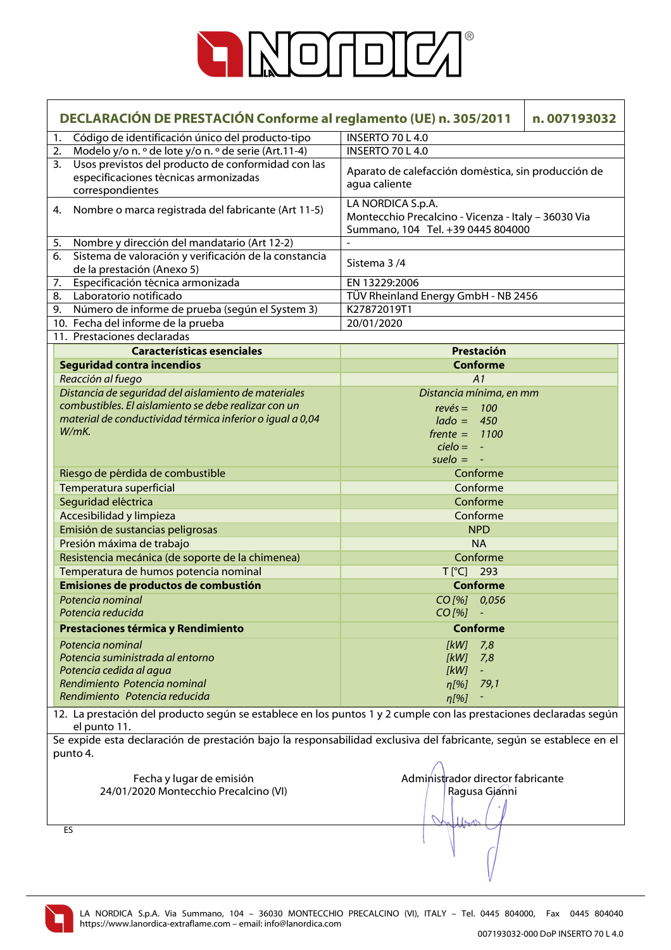

| DECLARACIÓN DE PRESTACIÓN Conforme al reglamento (UE) n. 305/2011 |                                                                                                                                    |                                                                                                               | n.007193032 |
|-------------------------------------------------------------------|------------------------------------------------------------------------------------------------------------------------------------|---------------------------------------------------------------------------------------------------------------|-------------|
| 1.                                                                | Código de identificación único del producto-tipo                                                                                   | INSERTO 70 L 4.0                                                                                              |             |
| 2.                                                                | Modelo y/o n. º de lote y/o n. º de serie (Art.11-4)                                                                               | INSERTO 70 L 4.0                                                                                              |             |
| 3.                                                                | Usos previstos del producto de conformidad con las<br>especificaciones técnicas armonizadas<br>correspondientes                    | Aparato de calefacción doméstica, sin producción de<br>agua caliente                                          |             |
|                                                                   | 4. Nombre o marca registrada del fabricante (Art 11-5)                                                                             | LA NORDICA S.p.A.<br>Montecchio Precalcino - Vicenza - Italy - 36030 Via<br>Summano, 104 Tel. +39 0445 804000 |             |
| 5.                                                                | Nombre y dirección del mandatario (Art 12-2)                                                                                       |                                                                                                               |             |
| 6.                                                                | Sistema de valoración y verificación de la constancia<br>de la prestación (Anexo 5)                                                | Sistema 3/4                                                                                                   |             |
| 7.                                                                | Especificación técnica armonizada                                                                                                  | EN 13229:2006                                                                                                 |             |
| 8.                                                                | Laboratorio notificado                                                                                                             | TÜV Rheinland Energy GmbH - NB 2456                                                                           |             |
| 9.                                                                | Número de informe de prueba (según el System 3)                                                                                    | K27872019T1                                                                                                   |             |
|                                                                   | 10. Fecha del informe de la prueba                                                                                                 | 20/01/2020                                                                                                    |             |
|                                                                   | 11. Prestaciones declaradas                                                                                                        |                                                                                                               |             |
|                                                                   | <b>Características esenciales</b>                                                                                                  | Prestación                                                                                                    |             |
|                                                                   | <b>Seguridad contra incendios</b>                                                                                                  | <b>Conforme</b>                                                                                               |             |
|                                                                   | Reacción al fuego                                                                                                                  | A1                                                                                                            |             |
|                                                                   | Distancia de seguridad del aislamiento de materiales                                                                               | Distancia mínima, en mm                                                                                       |             |
|                                                                   | combustibles. El aislamiento se debe realizar con un                                                                               | $rev\acute{e}s = 100$                                                                                         |             |
|                                                                   | material de conductividad térmica inferior o igual a 0,04                                                                          | $lado = 450$                                                                                                  |             |
|                                                                   | W/mK.                                                                                                                              | $f$ rente = 1100                                                                                              |             |
|                                                                   |                                                                                                                                    | $cielo = -$                                                                                                   |             |
|                                                                   |                                                                                                                                    | $suelo = -$                                                                                                   |             |
|                                                                   | Riesgo de pérdida de combustible                                                                                                   | Conforme                                                                                                      |             |
|                                                                   | Temperatura superficial                                                                                                            | Conforme                                                                                                      |             |
|                                                                   | Seguridad eléctrica                                                                                                                | Conforme                                                                                                      |             |
|                                                                   |                                                                                                                                    | Conforme                                                                                                      |             |
|                                                                   | Accesibilidad y limpieza                                                                                                           |                                                                                                               |             |
|                                                                   | Emisión de sustancias peligrosas                                                                                                   | <b>NPD</b>                                                                                                    |             |
|                                                                   | Presión máxima de trabajo                                                                                                          | <b>NA</b>                                                                                                     |             |
|                                                                   | Resistencia mecánica (de soporte de la chimenea)                                                                                   | Conforme                                                                                                      |             |
|                                                                   | Temperatura de humos potencia nominal                                                                                              | T[°C] 293                                                                                                     |             |
|                                                                   | Emisiones de productos de combustión                                                                                               | <b>Conforme</b>                                                                                               |             |
|                                                                   | Potencia nominal                                                                                                                   | CO[%] 0,056                                                                                                   |             |
|                                                                   | Potencia reducida                                                                                                                  | CO [%]                                                                                                        |             |
|                                                                   | Prestaciones térmica y Rendimiento                                                                                                 | <b>Conforme</b>                                                                                               |             |
|                                                                   | Potencia nominal                                                                                                                   | 7,8<br>[kW]                                                                                                   |             |
|                                                                   | Potencia suministrada al entorno                                                                                                   | [kW]<br>7,8                                                                                                   |             |
|                                                                   | Potencia cedida al agua                                                                                                            | [kW]<br>÷                                                                                                     |             |
|                                                                   | Rendimiento Potencia nominal                                                                                                       | 79,1<br>$n[\%]$                                                                                               |             |
|                                                                   | Rendimiento Potencia reducida                                                                                                      | $\eta$ [%]                                                                                                    |             |
|                                                                   | 12. La prestación del producto según se establece en los puntos 1 y 2 cumple con las prestaciones declaradas según<br>el punto 11. |                                                                                                               |             |
|                                                                   | Se expide esta declaración de prestación bajo la responsabilidad exclusiva del fabricante, según se establece en el                |                                                                                                               |             |
|                                                                   | punto 4.                                                                                                                           |                                                                                                               |             |
|                                                                   |                                                                                                                                    |                                                                                                               |             |
|                                                                   | Fecha y lugar de emisión                                                                                                           | Administrador director fabricante                                                                             |             |
|                                                                   | 24/01/2020 Montecchio Precalcino (VI)                                                                                              | Ragusa Gjanni                                                                                                 |             |
|                                                                   |                                                                                                                                    |                                                                                                               |             |
|                                                                   |                                                                                                                                    |                                                                                                               |             |
|                                                                   | ES                                                                                                                                 |                                                                                                               |             |
|                                                                   |                                                                                                                                    |                                                                                                               |             |

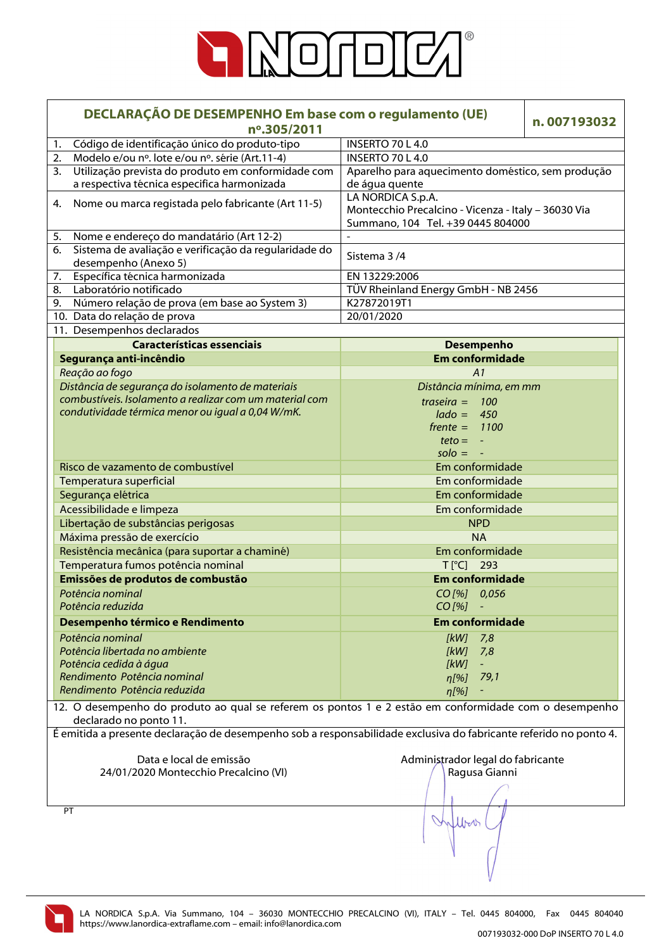

| DECLARAÇÃO DE DESEMPENHO Em base com o regulamento (UE)<br>nº.305/2011                                                          |                                                                                                               | n.007193032 |
|---------------------------------------------------------------------------------------------------------------------------------|---------------------------------------------------------------------------------------------------------------|-------------|
| Código de identificação único do produto-tipo<br>1.                                                                             | <b>INSERTO 70 L 4.0</b>                                                                                       |             |
| Modelo e/ou nº. lote e/ou nº. série (Art.11-4)<br>2.                                                                            | <b>INSERTO 70 L 4.0</b>                                                                                       |             |
| Utilização prevista do produto em conformidade com<br>3.<br>a respectiva técnica especifica harmonizada                         | Aparelho para aquecimento doméstico, sem produção<br>de água quente                                           |             |
| Nome ou marca registada pelo fabricante (Art 11-5)<br>4.                                                                        | LA NORDICA S.p.A.<br>Montecchio Precalcino - Vicenza - Italy - 36030 Via<br>Summano, 104 Tel. +39 0445 804000 |             |
| Nome e endereço do mandatário (Art 12-2)<br>5.                                                                                  |                                                                                                               |             |
| Sistema de avaliação e verificação da regularidade do<br>6.<br>desempenho (Anexo 5)                                             | Sistema 3/4                                                                                                   |             |
| Específica técnica harmonizada<br>7.                                                                                            | EN 13229:2006                                                                                                 |             |
| Laboratório notificado<br>8.                                                                                                    | TÜV Rheinland Energy GmbH - NB 2456                                                                           |             |
| Número relação de prova (em base ao System 3)<br>9.                                                                             | K27872019T1                                                                                                   |             |
| 10. Data do relação de prova                                                                                                    | 20/01/2020                                                                                                    |             |
| 11. Desempenhos declarados                                                                                                      |                                                                                                               |             |
| <b>Características essenciais</b>                                                                                               | <b>Desempenho</b>                                                                                             |             |
| Segurança anti-incêndio                                                                                                         | <b>Em conformidade</b>                                                                                        |             |
| Reação ao fogo                                                                                                                  | A1                                                                                                            |             |
| Distância de segurança do isolamento de materiais                                                                               | Distância mínima, em mm                                                                                       |             |
| combustíveis. Isolamento a realizar com um material com                                                                         |                                                                                                               |             |
| condutividade térmica menor ou igual a 0,04 W/mK.                                                                               | traseira = $100$                                                                                              |             |
|                                                                                                                                 | $lado = 450$                                                                                                  |             |
|                                                                                                                                 | $f$ rente = 1100                                                                                              |             |
|                                                                                                                                 | $teto = -$                                                                                                    |             |
|                                                                                                                                 | $\mathsf{solo} = -$                                                                                           |             |
| Risco de vazamento de combustível                                                                                               | Em conformidade                                                                                               |             |
| Temperatura superficial                                                                                                         | Em conformidade                                                                                               |             |
| Segurança elétrica                                                                                                              | Em conformidade                                                                                               |             |
| Acessibilidade e limpeza                                                                                                        | Em conformidade                                                                                               |             |
| Libertação de substâncias perigosas                                                                                             | <b>NPD</b>                                                                                                    |             |
| Máxima pressão de exercício                                                                                                     | <b>NA</b>                                                                                                     |             |
| Resistência mecânica (para suportar a chaminé)                                                                                  | Em conformidade                                                                                               |             |
| Temperatura fumos potência nominal                                                                                              | T [°C] 293                                                                                                    |             |
| Emissões de produtos de combustão                                                                                               | <b>Em conformidade</b>                                                                                        |             |
|                                                                                                                                 |                                                                                                               |             |
| Potência nominal<br>Potência reduzida                                                                                           | CO[%] 0,056<br>CO [%]                                                                                         |             |
| Desempenho térmico e Rendimento                                                                                                 | <b>Em conformidade</b>                                                                                        |             |
| Potência nominal                                                                                                                | [kW]<br>7,8                                                                                                   |             |
| Potência libertada no ambiente                                                                                                  | [kW]<br>7,8                                                                                                   |             |
| Potência cedida à água                                                                                                          | [kW]<br>÷,                                                                                                    |             |
| Rendimento Potência nominal                                                                                                     | 79,1<br>$\eta$ [%]                                                                                            |             |
| Rendimento Potência reduzida                                                                                                    | n[%]                                                                                                          |             |
| 12. O desempenho do produto ao qual se referem os pontos 1 e 2 estão em conformidade com o desempenho<br>declarado no ponto 11. |                                                                                                               |             |
| É emitida a presente declaração de desempenho sob a responsabilidade exclusiva do fabricante referido no ponto 4.               |                                                                                                               |             |
|                                                                                                                                 |                                                                                                               |             |
| Data e local de emissão                                                                                                         | Administrador legal do fabricante                                                                             |             |
| 24/01/2020 Montecchio Precalcino (VI)                                                                                           |                                                                                                               |             |
|                                                                                                                                 | Ragusa Gianni                                                                                                 |             |
|                                                                                                                                 |                                                                                                               |             |
| PT                                                                                                                              |                                                                                                               |             |
|                                                                                                                                 | Work                                                                                                          |             |
|                                                                                                                                 |                                                                                                               |             |

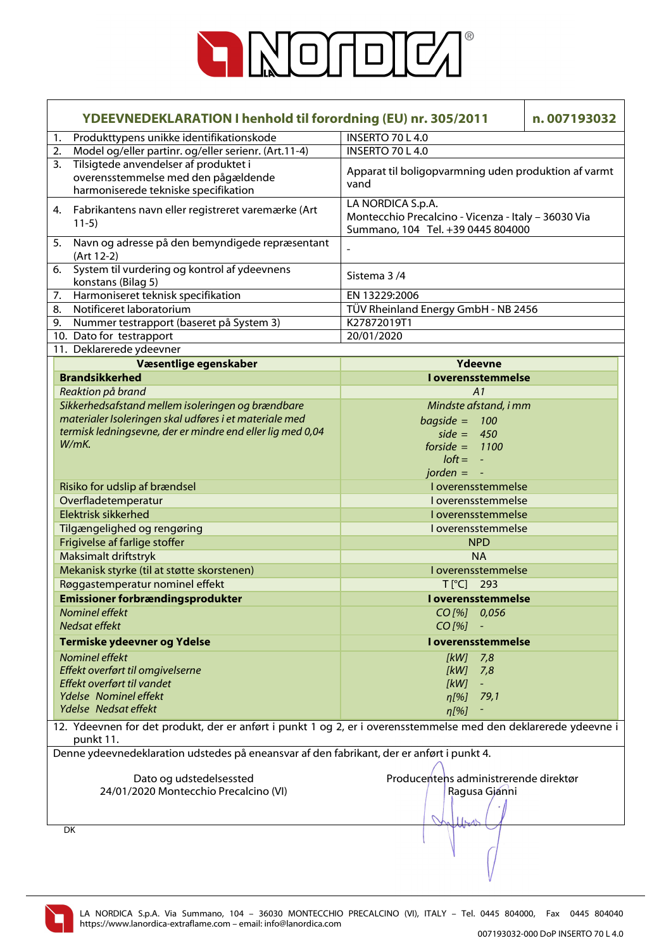

|                                                                                                                              | <b>YDEEVNEDEKLARATION I henhold til forordning (EU) nr. 305/2011</b>                      |                                                                                                               | n.007193032 |
|------------------------------------------------------------------------------------------------------------------------------|-------------------------------------------------------------------------------------------|---------------------------------------------------------------------------------------------------------------|-------------|
| 1.                                                                                                                           | Produkttypens unikke identifikationskode                                                  | <b>INSERTO 70 L 4.0</b>                                                                                       |             |
| 2.                                                                                                                           | Model og/eller partinr. og/eller serienr. (Art.11-4)                                      | INSERTO 70 L 4.0                                                                                              |             |
| 3.                                                                                                                           | Tilsigtede anvendelser af produktet i                                                     |                                                                                                               |             |
|                                                                                                                              | overensstemmelse med den pågældende<br>harmoniserede tekniske specifikation               | Apparat til boligopvarmning uden produktion af varmt<br>vand                                                  |             |
|                                                                                                                              | 4. Fabrikantens navn eller registreret varemærke (Art<br>$11-5)$                          | LA NORDICA S.p.A.<br>Montecchio Precalcino - Vicenza - Italy - 36030 Via<br>Summano, 104 Tel. +39 0445 804000 |             |
| 5.                                                                                                                           | Navn og adresse på den bemyndigede repræsentant<br>(Art 12-2)                             | $\overline{a}$                                                                                                |             |
| 6.                                                                                                                           | System til vurdering og kontrol af ydeevnens<br>konstans (Bilag 5)                        | Sistema 3/4                                                                                                   |             |
| 7.                                                                                                                           | Harmoniseret teknisk specifikation                                                        | EN 13229:2006                                                                                                 |             |
| 8.                                                                                                                           | Notificeret laboratorium                                                                  | TÜV Rheinland Energy GmbH - NB 2456                                                                           |             |
| 9.                                                                                                                           | Nummer testrapport (baseret på System 3)                                                  | K27872019T1                                                                                                   |             |
|                                                                                                                              | 10. Dato for testrapport                                                                  | 20/01/2020                                                                                                    |             |
|                                                                                                                              | 11. Deklarerede ydeevner                                                                  |                                                                                                               |             |
|                                                                                                                              | Væsentlige egenskaber                                                                     | Ydeevne                                                                                                       |             |
|                                                                                                                              | <b>Brandsikkerhed</b>                                                                     | I overensstemmelse                                                                                            |             |
|                                                                                                                              | Reaktion på brand                                                                         | A1                                                                                                            |             |
|                                                                                                                              | Sikkerhedsafstand mellem isoleringen og brændbare                                         | Mindste afstand, i mm                                                                                         |             |
|                                                                                                                              | materialer Isoleringen skal udføres i et materiale med                                    | $bagside = 100$                                                                                               |             |
|                                                                                                                              | termisk ledningsevne, der er mindre end eller lig med 0,04                                | side = $450$                                                                                                  |             |
|                                                                                                                              | W/mK.                                                                                     | forside = $1100$                                                                                              |             |
|                                                                                                                              |                                                                                           | $I$ oft = $-$                                                                                                 |             |
|                                                                                                                              |                                                                                           | $jorden =$<br>$\sim$ $\pm$                                                                                    |             |
|                                                                                                                              | Risiko for udslip af brændsel                                                             | I overensstemmelse                                                                                            |             |
|                                                                                                                              | Overfladetemperatur                                                                       | I overensstemmelse                                                                                            |             |
|                                                                                                                              | <b>Elektrisk sikkerhed</b>                                                                | I overensstemmelse                                                                                            |             |
|                                                                                                                              | Tilgængelighed og rengøring                                                               | I overensstemmelse                                                                                            |             |
|                                                                                                                              | Frigivelse af farlige stoffer                                                             | <b>NPD</b>                                                                                                    |             |
|                                                                                                                              | Maksimalt driftstryk                                                                      | <b>NA</b>                                                                                                     |             |
|                                                                                                                              | Mekanisk styrke (til at støtte skorstenen)                                                | I overensstemmelse                                                                                            |             |
|                                                                                                                              | Røggastemperatur nominel effekt                                                           | $T[^{\circ}C]$ 293                                                                                            |             |
|                                                                                                                              | <b>Emissioner forbrændingsprodukter</b>                                                   | I overensstemmelse                                                                                            |             |
|                                                                                                                              | Nominel effekt                                                                            | $CO$ [%] $0,056$                                                                                              |             |
|                                                                                                                              | Nedsat effekt                                                                             | $CO$ [%]                                                                                                      |             |
|                                                                                                                              | Termiske ydeevner og Ydelse                                                               | <b>I</b> overensstemmelse                                                                                     |             |
|                                                                                                                              |                                                                                           |                                                                                                               |             |
|                                                                                                                              | Nominel effekt                                                                            | $[kW]$ 7,8                                                                                                    |             |
|                                                                                                                              | Effekt overført til omgivelserne<br>Effekt overført til vandet                            | [kW]<br>7,8                                                                                                   |             |
|                                                                                                                              | Ydelse Nominel effekt                                                                     | [KW]                                                                                                          |             |
|                                                                                                                              | Ydelse Nedsat effekt                                                                      | 79,1<br>$n[\%]$                                                                                               |             |
|                                                                                                                              |                                                                                           | $\eta$ [%]                                                                                                    |             |
| 12. Ydeevnen for det produkt, der er anført i punkt 1 og 2, er i overensstemmelse med den deklarerede ydeevne i<br>punkt 11. |                                                                                           |                                                                                                               |             |
|                                                                                                                              | Denne ydeevnedeklaration udstedes på eneansvar af den fabrikant, der er anført i punkt 4. |                                                                                                               |             |
|                                                                                                                              |                                                                                           |                                                                                                               |             |
|                                                                                                                              | Dato og udstedelsessted                                                                   | Producentens administrerende direktør                                                                         |             |
|                                                                                                                              | 24/01/2020 Montecchio Precalcino (VI)                                                     | Ragusa Gjánni                                                                                                 |             |
|                                                                                                                              |                                                                                           |                                                                                                               |             |
|                                                                                                                              | DK                                                                                        | $\left  \right _{\mathcal{N}}$                                                                                |             |
|                                                                                                                              |                                                                                           |                                                                                                               |             |

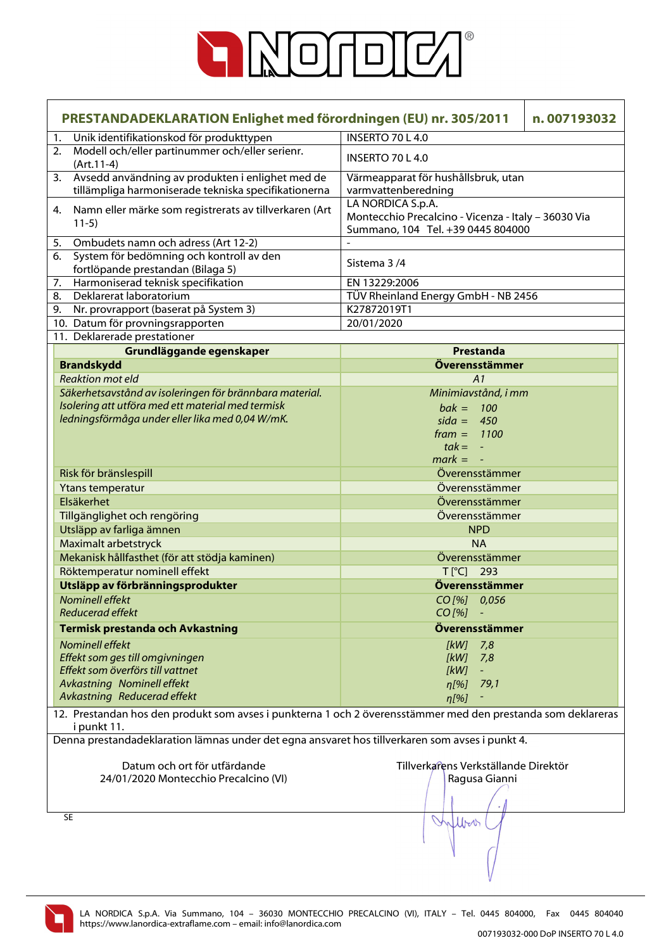

|    | PRESTANDADEKLARATION Enlighet med förordningen (EU) nr. 305/2011                                                            |                                                                                                               | n.007193032 |
|----|-----------------------------------------------------------------------------------------------------------------------------|---------------------------------------------------------------------------------------------------------------|-------------|
| 1. | Unik identifikationskod för produkttypen                                                                                    | <b>INSERTO 70 L 4.0</b>                                                                                       |             |
| 2. | Modell och/eller partinummer och/eller serienr.<br>$(Art.11-4)$                                                             | <b>INSERTO 70 L 4.0</b>                                                                                       |             |
| 3. | Avsedd användning av produkten i enlighet med de<br>tillämpliga harmoniserade tekniska specifikationerna                    | Värmeapparat för hushållsbruk, utan<br>varmvattenberedning                                                    |             |
| 4. | Namn eller märke som registrerats av tillverkaren (Art<br>$11-5)$                                                           | LA NORDICA S.p.A.<br>Montecchio Precalcino - Vicenza - Italy - 36030 Via<br>Summano, 104 Tel. +39 0445 804000 |             |
| 5. | Ombudets namn och adress (Art 12-2)                                                                                         |                                                                                                               |             |
|    | 6. System för bedömning och kontroll av den<br>fortlöpande prestandan (Bilaga 5)                                            | Sistema 3/4                                                                                                   |             |
| 7. | Harmoniserad teknisk specifikation                                                                                          | EN 13229:2006                                                                                                 |             |
|    | 8. Deklarerat laboratorium                                                                                                  | TÜV Rheinland Energy GmbH - NB 2456                                                                           |             |
|    | 9. Nr. provrapport (baserat på System 3)                                                                                    | K27872019T1                                                                                                   |             |
|    | 10. Datum för provningsrapporten                                                                                            | 20/01/2020                                                                                                    |             |
|    | 11. Deklarerade prestationer                                                                                                |                                                                                                               |             |
|    | Grundläggande egenskaper                                                                                                    | Prestanda                                                                                                     |             |
|    | <b>Brandskydd</b>                                                                                                           | Överensstämmer                                                                                                |             |
|    | <b>Reaktion mot eld</b>                                                                                                     | A1                                                                                                            |             |
|    | Säkerhetsavstånd av isoleringen för brännbara material.                                                                     | Minimiavstånd, i mm                                                                                           |             |
|    | Isolering att utföra med ett material med termisk                                                                           | $bak = 100$                                                                                                   |             |
|    | ledningsförmåga under eller lika med 0,04 W/mK.                                                                             | $sida = 450$                                                                                                  |             |
|    |                                                                                                                             | $frame = 1100$                                                                                                |             |
|    |                                                                                                                             | $tak = -$                                                                                                     |             |
|    |                                                                                                                             | $mark = -$                                                                                                    |             |
|    | Risk för bränslespill                                                                                                       | Överensstämmer                                                                                                |             |
|    | Ytans temperatur                                                                                                            | Överensstämmer                                                                                                |             |
|    | Elsäkerhet                                                                                                                  | Överensstämmer                                                                                                |             |
|    | Tillgänglighet och rengöring                                                                                                | Överensstämmer                                                                                                |             |
|    | Utsläpp av farliga ämnen                                                                                                    | <b>NPD</b>                                                                                                    |             |
|    | Maximalt arbetstryck                                                                                                        | <b>NA</b>                                                                                                     |             |
|    | Mekanisk hållfasthet (för att stödja kaminen)                                                                               | Överensstämmer                                                                                                |             |
|    | Röktemperatur nominell effekt                                                                                               | T[°C] 293                                                                                                     |             |
|    |                                                                                                                             | Överensstämmer                                                                                                |             |
|    | Utsläpp av förbränningsprodukter                                                                                            |                                                                                                               |             |
|    | <b>Nominell effekt</b>                                                                                                      | CO[%] 0,056                                                                                                   |             |
|    | <b>Reducerad effekt</b>                                                                                                     | CO [%] -                                                                                                      |             |
|    | Termisk prestanda och Avkastning                                                                                            | Överensstämmer                                                                                                |             |
|    | <b>Nominell effekt</b>                                                                                                      | [kW]<br>7,8                                                                                                   |             |
|    | Effekt som ges till omgivningen                                                                                             | [kW]<br>7,8                                                                                                   |             |
|    | Effekt som överförs till vattnet                                                                                            | [kW]                                                                                                          |             |
|    | Avkastning Nominell effekt                                                                                                  | 79,1<br>η[%]                                                                                                  |             |
|    | Avkastning Reducerad effekt                                                                                                 | $\eta$ [%]                                                                                                    |             |
|    | 12. Prestandan hos den produkt som avses i punkterna 1 och 2 överensstämmer med den prestanda som deklareras<br>i punkt 11. |                                                                                                               |             |
|    | Denna prestandadeklaration lämnas under det egna ansvaret hos tillverkaren som avses i punkt 4.                             |                                                                                                               |             |
|    |                                                                                                                             |                                                                                                               |             |
|    | Datum och ort för utfärdande                                                                                                | Tillverkarens Verkställande Direktör                                                                          |             |
|    | 24/01/2020 Montecchio Precalcino (VI)                                                                                       | Ragusa Gianni                                                                                                 |             |
|    |                                                                                                                             |                                                                                                               |             |
|    |                                                                                                                             |                                                                                                               |             |
|    | SE                                                                                                                          | Work                                                                                                          |             |
|    |                                                                                                                             |                                                                                                               |             |
|    |                                                                                                                             |                                                                                                               |             |
|    |                                                                                                                             |                                                                                                               |             |
|    |                                                                                                                             |                                                                                                               |             |

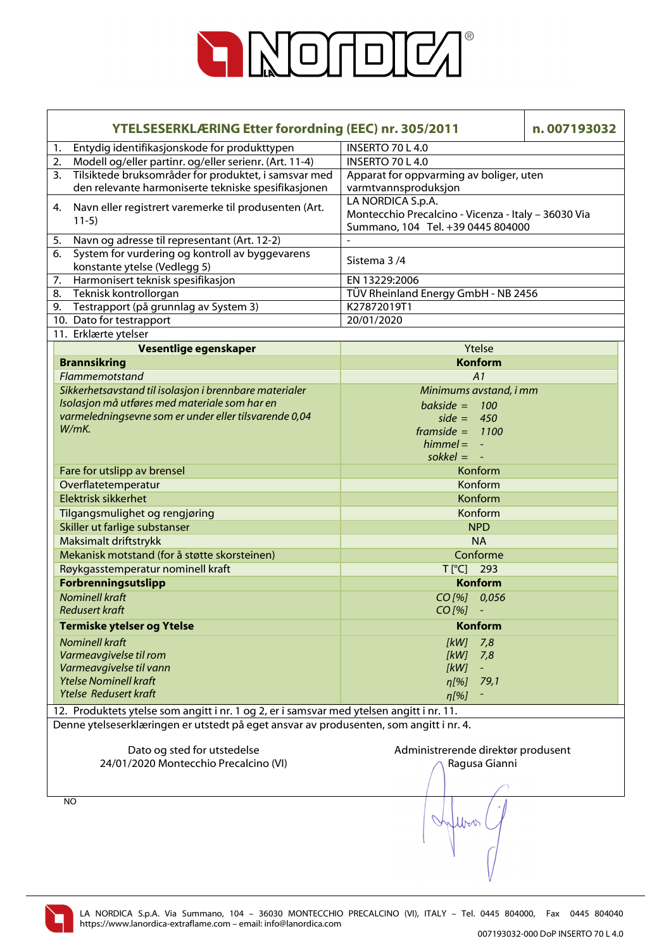

|    | <b>YTELSESERKLÆRING Etter forordning (EEC) nr. 305/2011</b><br>n.007193032               |                                                     |  |
|----|------------------------------------------------------------------------------------------|-----------------------------------------------------|--|
| 1. | Entydig identifikasjonskode for produkttypen                                             | <b>INSERTO 70 L 4.0</b>                             |  |
| 2. | Modell og/eller partinr. og/eller serienr. (Art. 11-4)                                   | INSERTO 70 L 4.0                                    |  |
| 3. | Tilsiktede bruksområder for produktet, i samsvar med                                     | Apparat for oppvarming av boliger, uten             |  |
|    | den relevante harmoniserte tekniske spesifikasjonen                                      | varmtvannsproduksjon                                |  |
|    |                                                                                          | LA NORDICA S.p.A.                                   |  |
| 4. | Navn eller registrert varemerke til produsenten (Art.<br>$11-5)$                         | Montecchio Precalcino - Vicenza - Italy - 36030 Via |  |
|    |                                                                                          | Summano, 104 Tel. +39 0445 804000                   |  |
| 5. | Navn og adresse til representant (Art. 12-2)                                             |                                                     |  |
| 6. | System for vurdering og kontroll av byggevarens                                          | Sistema 3/4                                         |  |
|    | konstante ytelse (Vedlegg 5)                                                             |                                                     |  |
| 7. | Harmonisert teknisk spesifikasjon                                                        | EN 13229:2006                                       |  |
| 8. | Teknisk kontrollorgan                                                                    | TÜV Rheinland Energy GmbH - NB 2456                 |  |
| 9. | Testrapport (på grunnlag av System 3)                                                    | K27872019T1                                         |  |
|    | 10. Dato for testrapport                                                                 | 20/01/2020                                          |  |
|    | 11. Erklærte ytelser                                                                     |                                                     |  |
|    | Vesentlige egenskaper                                                                    | Ytelse                                              |  |
|    | <b>Brannsikring</b>                                                                      | <b>Konform</b>                                      |  |
|    | Flammemotstand                                                                           | A1                                                  |  |
|    | Sikkerhetsavstand til isolasjon i brennbare materialer                                   | Minimums avstand, i mm                              |  |
|    | Isolasjon må utføres med materiale som har en                                            | bakside = $100$                                     |  |
|    | varmeledningsevne som er under eller tilsvarende 0,04                                    | side = $450$                                        |  |
|    | W/mK.                                                                                    | framside = $1100$                                   |  |
|    |                                                                                          | $himmel = -$                                        |  |
|    |                                                                                          | sokkel = $-$                                        |  |
|    | Fare for utslipp av brensel                                                              | Konform                                             |  |
|    | Overflatetemperatur                                                                      | Konform                                             |  |
|    | Elektrisk sikkerhet                                                                      | Konform                                             |  |
|    |                                                                                          | Konform                                             |  |
|    | Tilgangsmulighet og rengjøring                                                           |                                                     |  |
|    | Skiller ut farlige substanser                                                            | <b>NPD</b>                                          |  |
|    | Maksimalt driftstrykk                                                                    | <b>NA</b>                                           |  |
|    | Mekanisk motstand (for å støtte skorsteinen)                                             | Conforme                                            |  |
|    | Røykgasstemperatur nominell kraft                                                        | $T[^{\circ}C]$<br>293                               |  |
|    | Forbrenningsutslipp                                                                      | <b>Konform</b>                                      |  |
|    | <b>Nominell kraft</b>                                                                    | CO[%] 0,056                                         |  |
|    | <b>Redusert kraft</b>                                                                    | $CO$ [%]<br>$\blacksquare$                          |  |
|    | <b>Termiske ytelser og Ytelse</b>                                                        | <b>Konform</b>                                      |  |
|    | <b>Nominell kraft</b>                                                                    | [kW]<br>7,8                                         |  |
|    | Varmeavgivelse til rom                                                                   | [kW]<br>7,8                                         |  |
|    | Varmeavgivelse til vann                                                                  | [kW]                                                |  |
|    | <b>Ytelse Nominell kraft</b>                                                             | 79,1<br>$\eta$ [%]                                  |  |
|    | <b>Ytelse Redusert kraft</b>                                                             | $\eta$ [%]                                          |  |
|    | 12. Produktets ytelse som angitt i nr. 1 og 2, er i samsvar med ytelsen angitt i nr. 11. |                                                     |  |
|    | Denne ytelseserklæringen er utstedt på eget ansvar av produsenten, som angitt i nr. 4.   |                                                     |  |
|    |                                                                                          |                                                     |  |
|    | Dato og sted for utstedelse                                                              | Administrerende direktør produsent                  |  |
|    | 24/01/2020 Montecchio Precalcino (VI)                                                    | Ragusa Gianni                                       |  |
|    |                                                                                          |                                                     |  |
|    |                                                                                          |                                                     |  |
|    | NO                                                                                       |                                                     |  |
|    |                                                                                          |                                                     |  |
|    |                                                                                          | Mbar                                                |  |
|    |                                                                                          |                                                     |  |
|    |                                                                                          |                                                     |  |
|    |                                                                                          |                                                     |  |

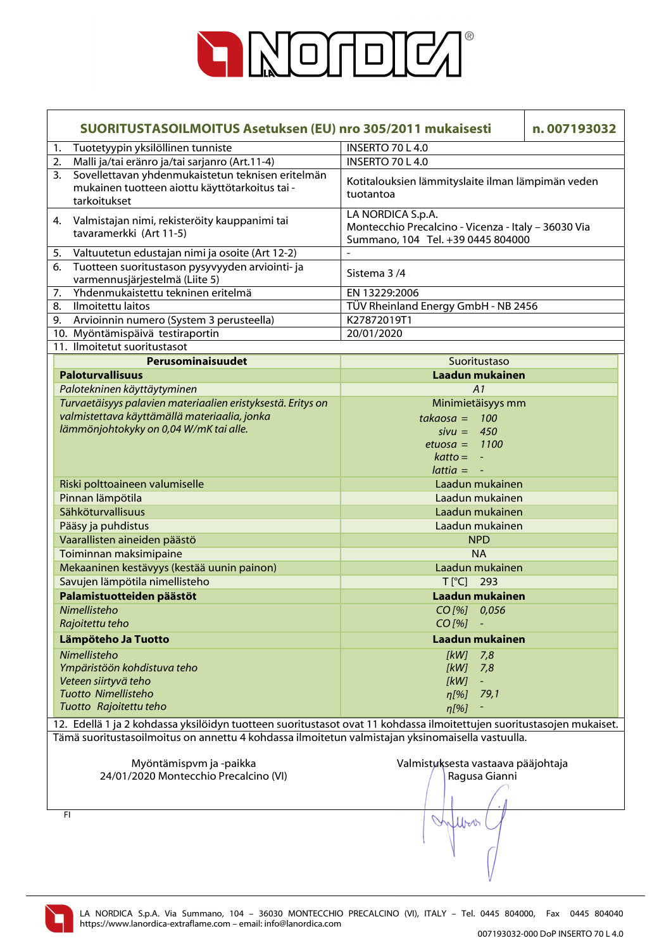

|                                                                                                  | SUORITUSTASOILMOITUS Asetuksen (EU) nro 305/2011 mukaisesti                                                           |                                                                                                               | n.007193032 |
|--------------------------------------------------------------------------------------------------|-----------------------------------------------------------------------------------------------------------------------|---------------------------------------------------------------------------------------------------------------|-------------|
| 1.                                                                                               | Tuotetyypin yksilöllinen tunniste                                                                                     | <b>INSERTO 70 L 4.0</b>                                                                                       |             |
| 2.                                                                                               | Malli ja/tai eränro ja/tai sarjanro (Art.11-4)                                                                        | <b>INSERTO 70 L 4.0</b>                                                                                       |             |
| 3.                                                                                               | Sovellettavan yhdenmukaistetun teknisen eritelmän<br>mukainen tuotteen aiottu käyttötarkoitus tai -<br>tarkoitukset   | Kotitalouksien lämmityslaite ilman lämpimän veden<br>tuotantoa                                                |             |
| 4.                                                                                               | Valmistajan nimi, rekisteröity kauppanimi tai<br>tavaramerkki (Art 11-5)                                              | LA NORDICA S.p.A.<br>Montecchio Precalcino - Vicenza - Italy - 36030 Via<br>Summano, 104 Tel. +39 0445 804000 |             |
| 5.                                                                                               | Valtuutetun edustajan nimi ja osoite (Art 12-2)                                                                       |                                                                                                               |             |
| 6.                                                                                               | Tuotteen suoritustason pysyvyyden arviointi- ja<br>varmennusjärjestelmä (Liite 5)                                     | Sistema 3/4                                                                                                   |             |
| 7.                                                                                               | Yhdenmukaistettu tekninen eritelmä                                                                                    | EN 13229:2006                                                                                                 |             |
| 8.                                                                                               | Ilmoitettu laitos                                                                                                     | TÜV Rheinland Energy GmbH - NB 2456                                                                           |             |
| 9.                                                                                               | Arvioinnin numero (System 3 perusteella)                                                                              | K27872019T1                                                                                                   |             |
|                                                                                                  | 10. Myöntämispäivä testiraportin                                                                                      | 20/01/2020                                                                                                    |             |
|                                                                                                  | 11. Ilmoitetut suoritustasot                                                                                          |                                                                                                               |             |
|                                                                                                  | Perusominaisuudet                                                                                                     | Suoritustaso                                                                                                  |             |
|                                                                                                  | <b>Paloturvallisuus</b>                                                                                               | Laadun mukainen                                                                                               |             |
|                                                                                                  | Palotekninen käyttäytyminen                                                                                           | A1                                                                                                            |             |
|                                                                                                  | Turvaetäisyys palavien materiaalien eristyksestä. Eritys on                                                           | Minimietäisyys mm                                                                                             |             |
|                                                                                                  | valmistettava käyttämällä materiaalia, jonka                                                                          | $takaosa = 100$                                                                                               |             |
|                                                                                                  | lämmönjohtokyky on 0,04 W/mK tai alle.                                                                                | $sivu = 450$                                                                                                  |             |
|                                                                                                  |                                                                                                                       | etuosa = $1100$                                                                                               |             |
|                                                                                                  |                                                                                                                       | $k$ atto = $-$                                                                                                |             |
|                                                                                                  |                                                                                                                       | $lattice = -$                                                                                                 |             |
|                                                                                                  | Riski polttoaineen valumiselle                                                                                        | Laadun mukainen                                                                                               |             |
|                                                                                                  | Pinnan lämpötila                                                                                                      | Laadun mukainen                                                                                               |             |
|                                                                                                  | Sähköturvallisuus                                                                                                     | Laadun mukainen                                                                                               |             |
|                                                                                                  | Pääsy ja puhdistus                                                                                                    | Laadun mukainen                                                                                               |             |
|                                                                                                  | Vaarallisten aineiden päästö                                                                                          | <b>NPD</b>                                                                                                    |             |
|                                                                                                  | Toiminnan maksimipaine                                                                                                | <b>NA</b>                                                                                                     |             |
|                                                                                                  | Mekaaninen kestävyys (kestää uunin painon)                                                                            | Laadun mukainen                                                                                               |             |
|                                                                                                  | Savujen lämpötila nimellisteho                                                                                        | T[°C] 293                                                                                                     |             |
|                                                                                                  | Palamistuotteiden päästöt                                                                                             | Laadun mukainen                                                                                               |             |
|                                                                                                  | Nimellisteho                                                                                                          | $CO$ [%] $0,056$                                                                                              |             |
|                                                                                                  | Rajoitettu teho                                                                                                       | $CO$ [%]                                                                                                      |             |
|                                                                                                  | Lämpöteho Ja Tuotto                                                                                                   | Laadun mukainen                                                                                               |             |
|                                                                                                  | Nimellisteho                                                                                                          | [kW]<br>7,8                                                                                                   |             |
|                                                                                                  | Ympäristöön kohdistuva teho                                                                                           | [kW]<br>7,8                                                                                                   |             |
|                                                                                                  | Veteen siirtyvä teho                                                                                                  | [kW]<br>$\omega_{\rm c}$                                                                                      |             |
|                                                                                                  | Tuotto Nimellisteho                                                                                                   | 79,1<br>$n[\%]$                                                                                               |             |
|                                                                                                  | Tuotto Rajoitettu teho                                                                                                | $\eta$ [%]                                                                                                    |             |
|                                                                                                  | 12. Edellä 1 ja 2 kohdassa yksilöidyn tuotteen suoritustasot ovat 11 kohdassa ilmoitettujen suoritustasojen mukaiset. |                                                                                                               |             |
| Tämä suoritustasoilmoitus on annettu 4 kohdassa ilmoitetun valmistajan yksinomaisella vastuulla. |                                                                                                                       |                                                                                                               |             |
|                                                                                                  | Myöntämispvm ja -paikka                                                                                               | Valmistuksesta vastaava pääjohtaja                                                                            |             |

FI

24/01/2020 Montecchio Precalcino (VI)

Ragusa Gianni

Moro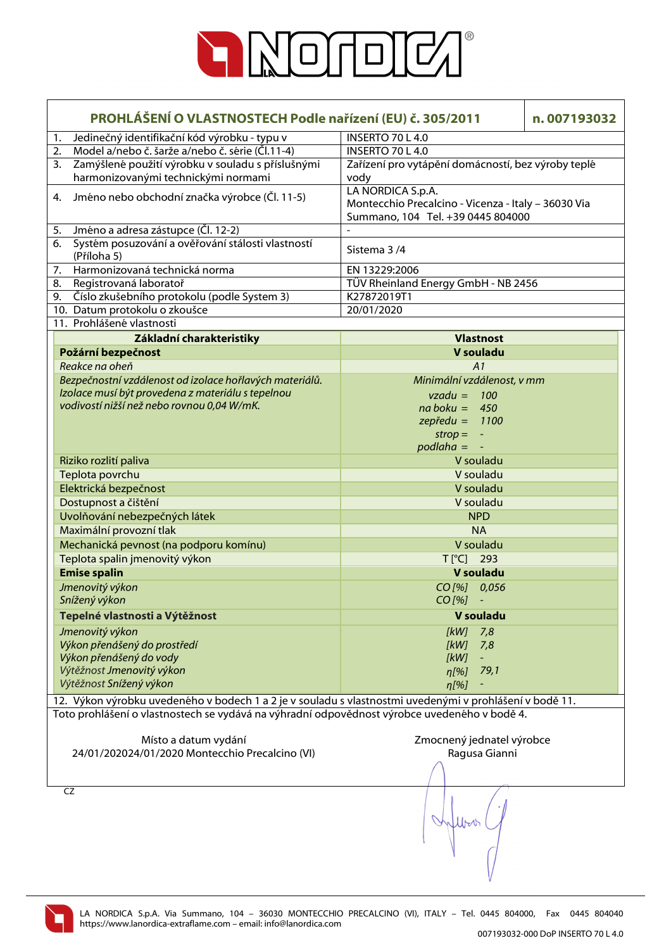

| PROHLÁŠENÍ O VLASTNOSTECH Podle nařízení (EU) č. 305/2011                                               | n.007193032                                         |
|---------------------------------------------------------------------------------------------------------|-----------------------------------------------------|
| Jedinečný identifikační kód výrobku - typu v<br>1.                                                      | <b>INSERTO 70 L 4.0</b>                             |
| Model a/nebo č. šarže a/nebo č. série (Čl.11-4)<br>2.                                                   | INSERTO 70 L 4.0                                    |
| Zamýšlené použití výrobku v souladu s příslušnými<br>3.                                                 | Zařízení pro vytápění domácností, bez výroby teplé  |
| harmonizovanými technickými normami                                                                     | vody                                                |
| Jméno nebo obchodní značka výrobce (Čl. 11-5)<br>4.                                                     | LA NORDICA S.p.A.                                   |
|                                                                                                         | Montecchio Precalcino - Vicenza - Italy - 36030 Via |
|                                                                                                         | Summano, 104 Tel. +39 0445 804000                   |
| Jméno a adresa zástupce (Čl. 12-2)<br>5.                                                                |                                                     |
| Systém posuzování a ověřování stálosti vlastností<br>6.<br>(Příloha 5)                                  | Sistema 3/4                                         |
| Harmonizovaná technická norma<br>7.                                                                     | EN 13229:2006                                       |
| 8.<br>Registrovaná laboratoř                                                                            | TÜV Rheinland Energy GmbH - NB 2456                 |
| Číslo zkušebního protokolu (podle System 3)<br>9.                                                       | K27872019T1                                         |
| 10. Datum protokolu o zkoušce                                                                           | 20/01/2020                                          |
| 11. Prohlášené vlastnosti                                                                               |                                                     |
| Základní charakteristiky                                                                                | <b>Vlastnost</b>                                    |
| Požární bezpečnost                                                                                      | V souladu                                           |
| Reakce na oheň                                                                                          | A1                                                  |
| Bezpečnostní vzdálenost od izolace hořlavých materiálů.                                                 | Minimální vzdálenost, v mm                          |
| Izolace musí být provedena z materiálu s tepelnou                                                       | $vzadu = 100$                                       |
| vodivostí nižší než nebo rovnou 0,04 W/mK.                                                              | $na boku = 450$                                     |
|                                                                                                         | $z$ epředu = 1100                                   |
|                                                                                                         | $strop = -$                                         |
|                                                                                                         | $p$ odlaha = $-$                                    |
| Riziko rozlití paliva                                                                                   | V souladu                                           |
| Teplota povrchu                                                                                         | V souladu                                           |
| Elektrická bezpečnost                                                                                   | V souladu                                           |
| Dostupnost a čištění                                                                                    | V souladu                                           |
| Uvolňování nebezpečných látek                                                                           | <b>NPD</b>                                          |
| Maximální provozní tlak                                                                                 | <b>NA</b>                                           |
| Mechanická pevnost (na podporu komínu)                                                                  | V souladu                                           |
| Teplota spalin jmenovitý výkon                                                                          | T[°C] 293                                           |
| <b>Emise spalin</b>                                                                                     | V souladu                                           |
| Jmenovitý výkon                                                                                         | CO[%] 0,056                                         |
| Snížený výkon                                                                                           | $CO [%] -$                                          |
| Tepelné vlastnosti a Výtěžnost                                                                          | V souladu                                           |
| Jmenovitý výkon                                                                                         | $[kW]$ 7,8                                          |
| Výkon přenášený do prostředí                                                                            | [kW]<br>7,8                                         |
| Výkon přenášený do vody                                                                                 | [kW]<br>$\pm$                                       |
| Výtěžnost Jmenovitý výkon                                                                               | 79,1<br>η[%]                                        |
| Výtěžnost Snížený výkon                                                                                 | $\eta$ [%]                                          |
| 12. Výkon výrobku uvedeného v bodech 1 a 2 je v souladu s vlastnostmi uvedenými v prohlášení v bodě 11. |                                                     |
| Toto prohlášení o vlastnostech se vydává na výhradní odpovědnost výrobce uvedeného v bodě 4.            |                                                     |
| Místo a datum vydání                                                                                    | Zmocnený jednatel výrobce                           |
| 24/01/202024/01/2020 Montecchio Precalcino (VI)                                                         | Ragusa Gianni                                       |
|                                                                                                         |                                                     |
|                                                                                                         |                                                     |
| CZ                                                                                                      |                                                     |

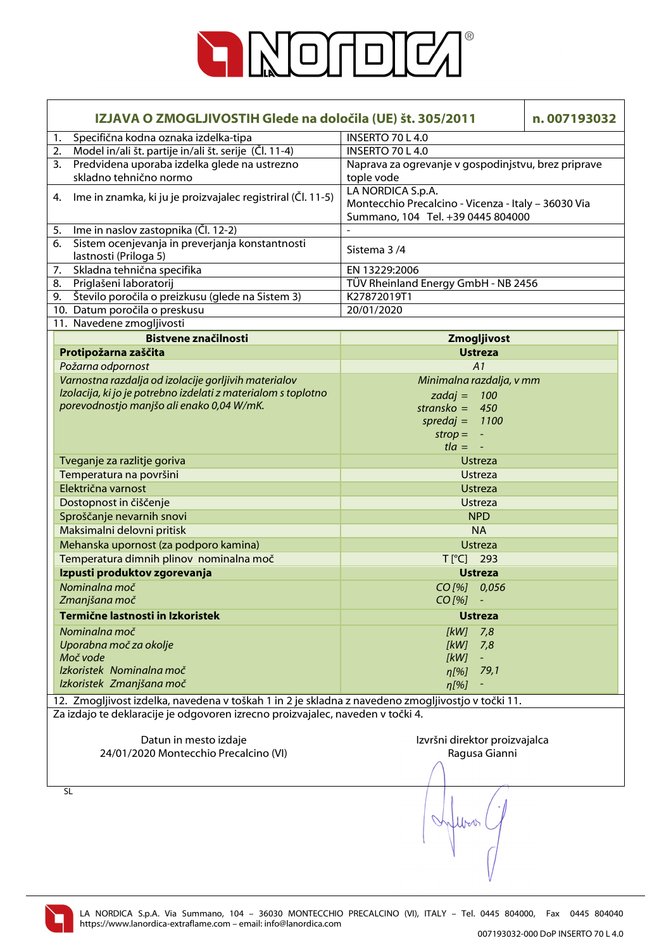

| IZJAVA O ZMOGLJIVOSTIH Glede na določila (UE) št. 305/2011                                        |                                                                                                               | n.007193032 |
|---------------------------------------------------------------------------------------------------|---------------------------------------------------------------------------------------------------------------|-------------|
| Specifična kodna oznaka izdelka-tipa<br>1.                                                        | <b>INSERTO 70 L 4.0</b>                                                                                       |             |
| Model in/ali št. partije in/ali št. serije (Čl. 11-4)<br>2.                                       | INSERTO 70 L 4.0                                                                                              |             |
| Predvidena uporaba izdelka glede na ustrezno<br>3.<br>skladno tehnično normo                      | Naprava za ogrevanje v gospodinjstvu, brez priprave<br>tople vode                                             |             |
| Ime in znamka, ki ju je proizvajalec registriral (Čl. 11-5)<br>4.                                 | LA NORDICA S.p.A.<br>Montecchio Precalcino - Vicenza - Italy - 36030 Via<br>Summano, 104 Tel. +39 0445 804000 |             |
| Ime in naslov zastopnika (Čl. 12-2)<br>5.                                                         |                                                                                                               |             |
| Sistem ocenjevanja in preverjanja konstantnosti<br>6.<br>lastnosti (Priloga 5)                    | Sistema 3/4                                                                                                   |             |
| Skladna tehnična specifika<br>7.                                                                  | EN 13229:2006                                                                                                 |             |
| 8.<br>Priglašeni laboratorij                                                                      | TÜV Rheinland Energy GmbH - NB 2456                                                                           |             |
| Število poročila o preizkusu (glede na Sistem 3)<br>9.                                            | K27872019T1                                                                                                   |             |
| 10. Datum poročila o preskusu                                                                     | 20/01/2020                                                                                                    |             |
| 11. Navedene zmogljivosti                                                                         |                                                                                                               |             |
| <b>Bistvene značilnosti</b>                                                                       | Zmogljivost                                                                                                   |             |
| Protipožarna zaščita                                                                              | <b>Ustreza</b>                                                                                                |             |
| Požarna odpornost                                                                                 | A1                                                                                                            |             |
| Varnostna razdalja od izolacije gorljivih materialov                                              | Minimalna razdalja, v mm                                                                                      |             |
| Izolacija, ki jo je potrebno izdelati z materialom s toplotno                                     | $zadaj = 100$                                                                                                 |             |
| porevodnostjo manjšo ali enako 0,04 W/mK.                                                         | stransko = $450$                                                                                              |             |
|                                                                                                   | spredaj = $1100$                                                                                              |             |
|                                                                                                   | $strop =$<br>$\equiv$                                                                                         |             |
|                                                                                                   | $t/a = -$                                                                                                     |             |
| Tveganje za razlitje goriva                                                                       | <b>Ustreza</b>                                                                                                |             |
| Temperatura na površini                                                                           | Ustreza                                                                                                       |             |
| Električna varnost                                                                                | <b>Ustreza</b>                                                                                                |             |
| Dostopnost in čiščenje                                                                            | <b>Ustreza</b>                                                                                                |             |
| Sproščanje nevarnih snovi                                                                         | <b>NPD</b>                                                                                                    |             |
| Maksimalni delovni pritisk                                                                        | <b>NA</b>                                                                                                     |             |
| Mehanska upornost (za podporo kamina)                                                             | <b>Ustreza</b>                                                                                                |             |
| Temperatura dimnih plinov nominalna moč                                                           | T[°C] 293                                                                                                     |             |
| Izpusti produktov zgorevanja                                                                      | <b>Ustreza</b>                                                                                                |             |
| Nominalna moč                                                                                     | CO[%] 0,056                                                                                                   |             |
| Zmanjšana moč                                                                                     | CO [%]<br>$\blacksquare$                                                                                      |             |
| Termične lastnosti in Izkoristek                                                                  | <b>Ustreza</b>                                                                                                |             |
| Nominalna moč                                                                                     | [kW]<br>7,8                                                                                                   |             |
| Uporabna moč za okolje                                                                            | [kW]<br>7,8                                                                                                   |             |
| Moč vode                                                                                          | [kW]<br>$\equiv$                                                                                              |             |
| Izkoristek Nominalna moč                                                                          | $\eta$ [%]<br>79,1                                                                                            |             |
| Izkoristek Zmanjšana moč                                                                          | $\eta$ [%]                                                                                                    |             |
| 12. Zmogljivost izdelka, navedena v toškah 1 in 2 je skladna z navedeno zmogljivostjo v točki 11. |                                                                                                               |             |
| Za izdajo te deklaracije je odgovoren izrecno proizvajalec, naveden v točki 4.                    |                                                                                                               |             |
| Datun in mesto izdaje                                                                             | Izvršni direktor proizvajalca                                                                                 |             |
| 24/01/2020 Montecchio Precalcino (VI)                                                             | Ragusa Gianni                                                                                                 |             |
|                                                                                                   |                                                                                                               |             |
| SL                                                                                                |                                                                                                               |             |

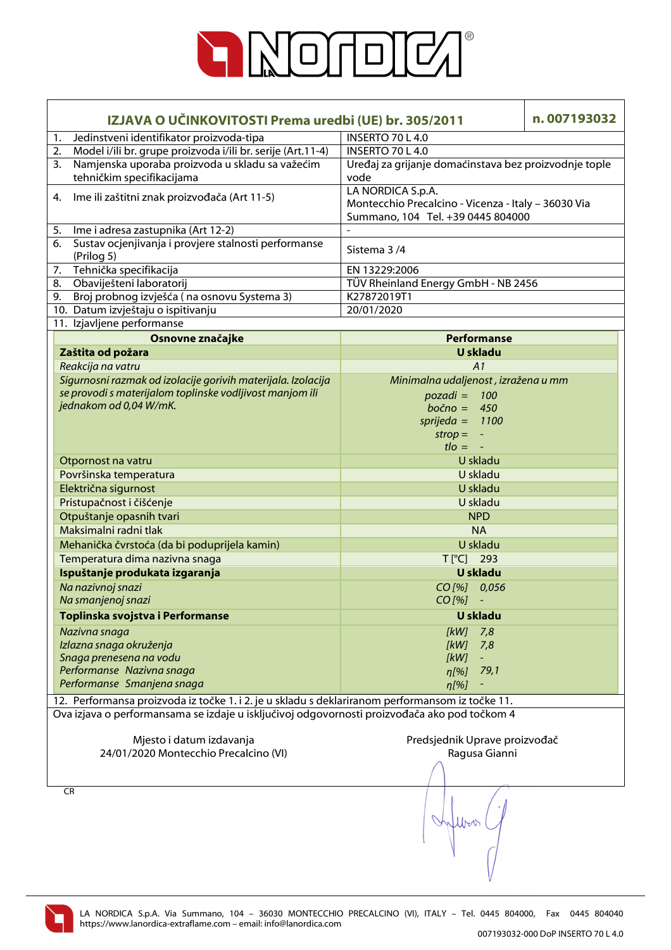

| IZJAVA O UČINKOVITOSTI Prema uredbi (UE) br. 305/2011                                                                                                                                           |                                                                                                               | n.007193032 |
|-------------------------------------------------------------------------------------------------------------------------------------------------------------------------------------------------|---------------------------------------------------------------------------------------------------------------|-------------|
| Jedinstveni identifikator proizvoda-tipa<br>1.                                                                                                                                                  | <b>INSERTO 70 L 4.0</b>                                                                                       |             |
| Model i/ili br. grupe proizvoda i/ili br. serije (Art.11-4)<br>2.                                                                                                                               | INSERTO 70 L 4.0                                                                                              |             |
| Namjenska uporaba proizvoda u skladu sa važećim<br>3.                                                                                                                                           | Uređaj za grijanje domaćinstava bez proizvodnje tople                                                         |             |
| tehničkim specifikacijama                                                                                                                                                                       | vode                                                                                                          |             |
| Ime ili zaštitni znak proizvođača (Art 11-5)<br>4.                                                                                                                                              | LA NORDICA S.p.A.<br>Montecchio Precalcino - Vicenza - Italy - 36030 Via<br>Summano, 104 Tel. +39 0445 804000 |             |
| Ime i adresa zastupnika (Art 12-2)<br>5.                                                                                                                                                        |                                                                                                               |             |
| Sustav ocjenjivanja i provjere stalnosti performanse<br>6.<br>(Prilog 5)                                                                                                                        | Sistema 3/4                                                                                                   |             |
| Tehnička specifikacija<br>7.                                                                                                                                                                    | EN 13229:2006                                                                                                 |             |
| Obaviješteni laboratorij<br>8.                                                                                                                                                                  | TÜV Rheinland Energy GmbH - NB 2456                                                                           |             |
| 9. Broj probnog izvješća (na osnovu Systema 3)                                                                                                                                                  | K27872019T1                                                                                                   |             |
| 10. Datum izvještaju o ispitivanju                                                                                                                                                              | 20/01/2020                                                                                                    |             |
| 11. Izjavljene performanse                                                                                                                                                                      |                                                                                                               |             |
| Osnovne značajke                                                                                                                                                                                | <b>Performanse</b>                                                                                            |             |
| Zaštita od požara                                                                                                                                                                               | <b>U</b> skladu                                                                                               |             |
| Reakcija na vatru                                                                                                                                                                               | A1                                                                                                            |             |
| Sigurnosni razmak od izolacije gorivih materijala. Izolacija                                                                                                                                    | Minimalna udaljenost, izražena u mm                                                                           |             |
| se provodi s materijalom toplinske vodljivost manjom ili                                                                                                                                        | $pozadi = 100$                                                                                                |             |
| jednakom od 0,04 W/mK.                                                                                                                                                                          | $bočno = 450$                                                                                                 |             |
|                                                                                                                                                                                                 | sprijeda = $1100$                                                                                             |             |
|                                                                                                                                                                                                 | $strop =$<br>$\equiv$                                                                                         |             |
|                                                                                                                                                                                                 | $t$ lo = $-$                                                                                                  |             |
| Otpornost na vatru                                                                                                                                                                              | U skladu                                                                                                      |             |
| Površinska temperatura                                                                                                                                                                          | U skladu                                                                                                      |             |
| Električna sigurnost                                                                                                                                                                            | U skladu                                                                                                      |             |
| Pristupačnost i čišćenje                                                                                                                                                                        | U skladu                                                                                                      |             |
| Otpuštanje opasnih tvari                                                                                                                                                                        | <b>NPD</b>                                                                                                    |             |
| Maksimalni radni tlak                                                                                                                                                                           | <b>NA</b>                                                                                                     |             |
| Mehanička čvrstoća (da bi poduprijela kamin)                                                                                                                                                    | U skladu                                                                                                      |             |
| Temperatura dima nazivna snaga                                                                                                                                                                  | T[°C] 293                                                                                                     |             |
| Ispuštanje produkata izgaranja                                                                                                                                                                  | <b>U</b> skladu                                                                                               |             |
| Na nazivnoj snazi                                                                                                                                                                               | CO[%] 0,056                                                                                                   |             |
| Na smanjenoj snazi                                                                                                                                                                              | $CO$ [%]<br>$\equiv$                                                                                          |             |
| Toplinska svojstva i Performanse                                                                                                                                                                | <b>U</b> skladu                                                                                               |             |
|                                                                                                                                                                                                 |                                                                                                               |             |
| Nazivna snaga                                                                                                                                                                                   | 7,8<br>[kW]                                                                                                   |             |
| Izlazna snaga okruženja                                                                                                                                                                         | [kW]<br>7,8                                                                                                   |             |
| Snaga prenesena na vodu<br>Performanse Nazivna snaga                                                                                                                                            | [kW]                                                                                                          |             |
| Performanse Smanjena snaga                                                                                                                                                                      | 79,1<br>$n[\%]$                                                                                               |             |
|                                                                                                                                                                                                 | n[%]                                                                                                          |             |
| 12. Performansa proizvoda iz točke 1. i 2. je u skladu s deklariranom performansom iz točke 11.<br>Ova izjava o performansama se izdaje u isključivoj odgovornosti proizvođača ako pod točkom 4 |                                                                                                               |             |
|                                                                                                                                                                                                 |                                                                                                               |             |
| Mjesto i datum izdavanja                                                                                                                                                                        | Predsjednik Uprave proizvođač                                                                                 |             |
| 24/01/2020 Montecchio Precalcino (VI)                                                                                                                                                           | Ragusa Gianni                                                                                                 |             |
|                                                                                                                                                                                                 |                                                                                                               |             |
| CR                                                                                                                                                                                              |                                                                                                               |             |

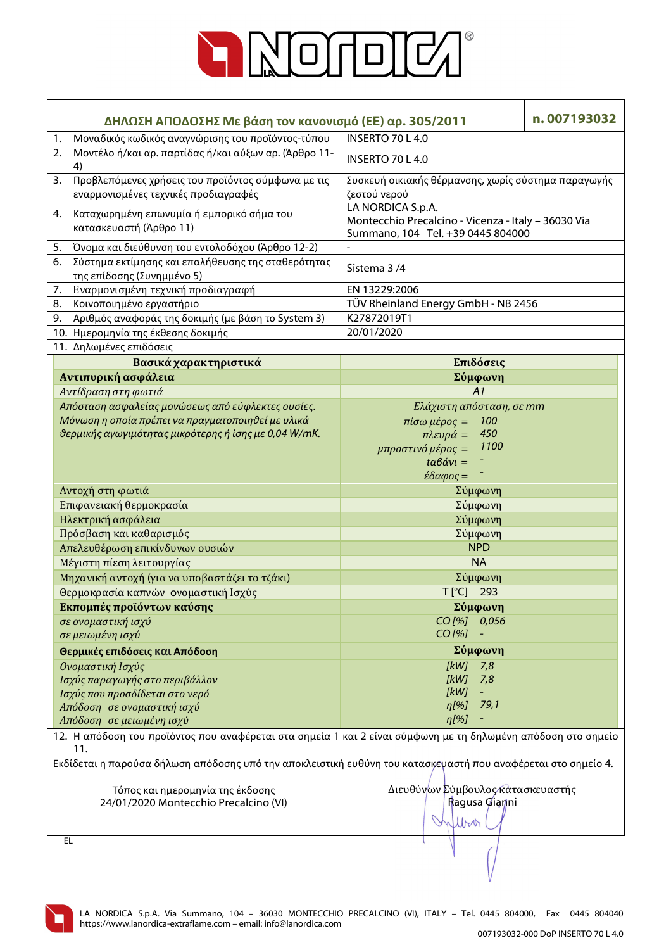

| ΔΗΛΩΣΗ ΑΠΟΔΟΣΗΣ Με βάση τον κανονισμό (ΕΕ) αρ. 305/2011                                                              | n.007193032                                                                                                   |  |
|----------------------------------------------------------------------------------------------------------------------|---------------------------------------------------------------------------------------------------------------|--|
| Μοναδικός κωδικός αναγνώρισης του προϊόντος-τύπου<br>1.                                                              | INSERTO 70 L 4.0                                                                                              |  |
| Μοντέλο ή/και αρ. παρτίδας ή/και αύξων αρ. (Άρθρο 11-<br>2.<br>4)                                                    | <b>INSERTO 70 L 4.0</b>                                                                                       |  |
| Προβλεπόμενες χρήσεις του προϊόντος σύμφωνα με τις<br>3.<br>εναρμονισμένες τεχνικές προδιαγραφές                     | Συσκευή οικιακής θέρμανσης, χωρίς σύστημα παραγωγής<br>ζεστού νερού                                           |  |
| Καταχωρημένη επωνυμία ή εμπορικό σήμα του<br>4.<br>κατασκευαστή (Άρθρο 11)                                           | LA NORDICA S.p.A.<br>Montecchio Precalcino - Vicenza - Italy - 36030 Via<br>Summano, 104 Tel. +39 0445 804000 |  |
| Όνομα και διεύθυνση του εντολοδόχου (Άρθρο 12-2)<br>5.                                                               | $\blacksquare$                                                                                                |  |
| Σύστημα εκτίμησης και επαλήθευσης της σταθερότητας<br>6.<br>της επίδοσης (Συνημμένο 5)                               | Sistema 3/4                                                                                                   |  |
| Εναρμονισμένη τεχνική προδιαγραφή<br>7.                                                                              | EN 13229:2006                                                                                                 |  |
| Κοινοποιημένο εργαστήριο<br>8.                                                                                       | TÜV Rheinland Energy GmbH - NB 2456                                                                           |  |
| Αριθμός αναφοράς της δοκιμής (με βάση το System 3)<br>9.                                                             | K27872019T1                                                                                                   |  |
| 10. Ημερομηνία της έκθεσης δοκιμής                                                                                   | 20/01/2020                                                                                                    |  |
| 11. Δηλωμένες επιδόσεις                                                                                              |                                                                                                               |  |
| Βασικά χαρακτηριστικά                                                                                                | Επιδόσεις                                                                                                     |  |
| Αντιπυρική ασφάλεια                                                                                                  | Σύμφωνη                                                                                                       |  |
| Αντίδραση στη φωτιά                                                                                                  | A1                                                                                                            |  |
| Απόσταση ασφαλείας μονώσεως από εύφλεκτες ουσίες.                                                                    | Ελάχιστη απόσταση, σε mm                                                                                      |  |
|                                                                                                                      |                                                                                                               |  |
| Μόνωση η οποία πρέπει να πραγματοποιηθεί με υλικά                                                                    | πίσω μέρος =<br>100<br>450                                                                                    |  |
| θερμικής αγωγιμότητας μικρότερης ή ίσης με 0,04 W/mK.                                                                | $πλευρά =$<br>1100                                                                                            |  |
|                                                                                                                      | μπροστινό μέρος =                                                                                             |  |
|                                                                                                                      | $t\alpha\beta\dot{\alpha}v\iota =$                                                                            |  |
|                                                                                                                      | $\epsilon \delta \alpha \varphi$ ος =                                                                         |  |
| Αντοχή στη φωτιά                                                                                                     | Σύμφωνη                                                                                                       |  |
| Επιφανειακή θερμοκρασία                                                                                              | Σύμφωνη                                                                                                       |  |
| Ηλεκτρική ασφάλεια                                                                                                   | Σύμφωνη                                                                                                       |  |
| Πρόσβαση και καθαρισμός                                                                                              | Σύμφωνη                                                                                                       |  |
| Απελευθέρωση επικίνδυνων ουσιών                                                                                      | <b>NPD</b>                                                                                                    |  |
| Μέγιστη πίεση λειτουργίας                                                                                            | <b>NA</b>                                                                                                     |  |
| Μηχανική αντοχή (για να υποβαστάζει το τζάκι)                                                                        | Σύμφωνη                                                                                                       |  |
| Θερμοκρασία καπνών ονομαστική Ισχύς                                                                                  | T[°C] 293                                                                                                     |  |
| Εκπομπές προϊόντων καύσης                                                                                            | Σύμφωνη                                                                                                       |  |
| σε ονομαστική ισχύ                                                                                                   | CO[%] 0,056                                                                                                   |  |
| σε μειωμένη ισχύ                                                                                                     | CO [%]                                                                                                        |  |
| Θερμικές επιδόσεις και Απόδοση                                                                                       | Σύμφωνη                                                                                                       |  |
| Ονομαστική Ισχύς                                                                                                     | <b>IkW1</b><br>7,8                                                                                            |  |
| Ισχύς παραγωγής στο περιβάλλον                                                                                       | [kW]<br>7,8                                                                                                   |  |
| Ισχύς που προσδίδεται στο νερό                                                                                       | [kW]                                                                                                          |  |
| Απόδοση σε ονομαστική ισχύ                                                                                           | 79,1<br>n[%]                                                                                                  |  |
| Απόδοση σε μειωμένη ισχύ                                                                                             | $\eta$ [%]                                                                                                    |  |
|                                                                                                                      |                                                                                                               |  |
| 12. Η απόδοση του προϊόντος που αναφέρεται στα σημεία 1 και 2 είναι σύμφωνη με τη δηλωμένη απόδοση στο σημείο<br>11. |                                                                                                               |  |
| Εκδίδεται η παρούσα δήλωση απόδοσης υπό την αποκλειστική ευθύνη του κατασκεγαστή που αναφέρεται στο σημείο 4.        |                                                                                                               |  |
|                                                                                                                      |                                                                                                               |  |
| Τόπος και ημερομηνία της έκδοσης                                                                                     | Διευθύνων Σύμβουλος κατασκευαστής                                                                             |  |
| 24/01/2020 Montecchio Precalcino (VI)                                                                                | Ragusa Gianni                                                                                                 |  |
|                                                                                                                      | Morr                                                                                                          |  |
| EL                                                                                                                   |                                                                                                               |  |
|                                                                                                                      |                                                                                                               |  |

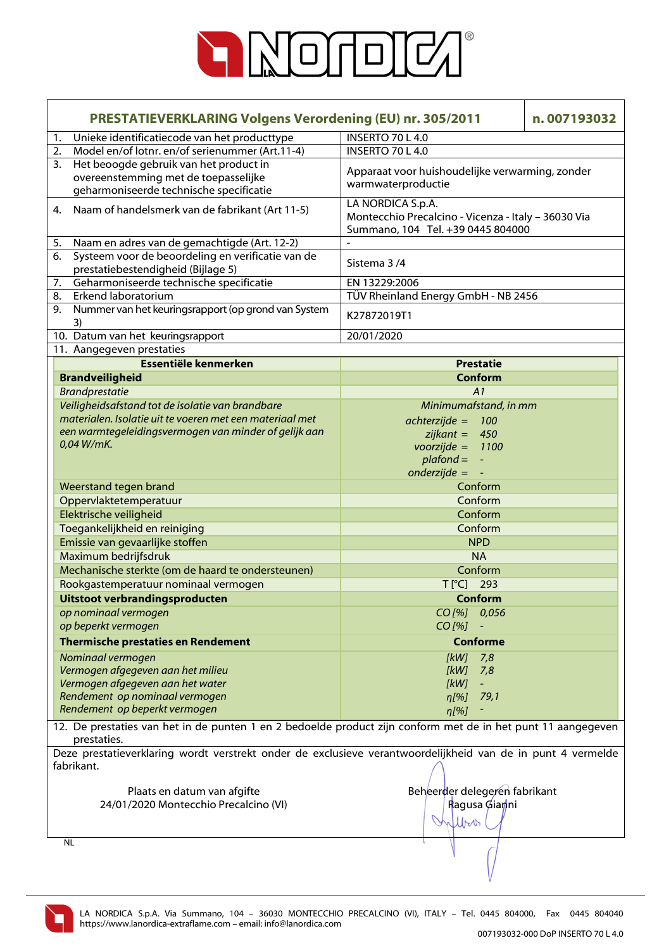

| <b>PRESTATIEVERKLARING Volgens Verordening (EU) nr. 305/2011</b> |                                                                                                              | n.007193032                                                              |  |
|------------------------------------------------------------------|--------------------------------------------------------------------------------------------------------------|--------------------------------------------------------------------------|--|
| 1.                                                               | Unieke identificatiecode van het producttype                                                                 | INSERTO 70 L 4.0                                                         |  |
| 2.                                                               | Model en/of lotnr. en/of serienummer (Art.11-4)                                                              | INSERTO 70 L 4.0                                                         |  |
| 3.                                                               | Het beoogde gebruik van het product in                                                                       |                                                                          |  |
|                                                                  | overeenstemming met de toepasselijke                                                                         | Apparaat voor huishoudelijke verwarming, zonder                          |  |
|                                                                  | geharmoniseerde technische specificatie                                                                      | warmwaterproductie                                                       |  |
| 4.                                                               | Naam of handelsmerk van de fabrikant (Art 11-5)                                                              | LA NORDICA S.p.A.<br>Montecchio Precalcino - Vicenza - Italy - 36030 Via |  |
|                                                                  |                                                                                                              | Summano, 104 Tel. +39 0445 804000                                        |  |
| 5.<br>6.                                                         | Naam en adres van de gemachtigde (Art. 12-2)<br>Systeem voor de beoordeling en verificatie van de            |                                                                          |  |
|                                                                  |                                                                                                              | Sistema 3/4                                                              |  |
|                                                                  | prestatiebestendigheid (Bijlage 5)<br>Geharmoniseerde technische specificatie                                | EN 13229:2006                                                            |  |
| 7.                                                               | Erkend laboratorium                                                                                          | TÜV Rheinland Energy GmbH - NB 2456                                      |  |
| 8.                                                               |                                                                                                              |                                                                          |  |
| 9.                                                               | Nummer van het keuringsrapport (op grond van System<br>3)                                                    | K27872019T1                                                              |  |
|                                                                  | 10. Datum van het keuringsrapport                                                                            | 20/01/2020                                                               |  |
|                                                                  | 11. Aangegeven prestaties                                                                                    |                                                                          |  |
|                                                                  | Essentiële kenmerken                                                                                         | <b>Prestatie</b>                                                         |  |
|                                                                  | <b>Brandveiligheid</b>                                                                                       | <b>Conform</b>                                                           |  |
|                                                                  | <b>Brandprestatie</b>                                                                                        | A1                                                                       |  |
|                                                                  | Veiligheidsafstand tot de isolatie van brandbare                                                             | Minimumafstand, in mm                                                    |  |
|                                                                  | materialen. Isolatie uit te voeren met een materiaal met                                                     | $achterzijde =$<br>100                                                   |  |
|                                                                  | een warmtegeleidingsvermogen van minder of gelijk aan                                                        | $zijkant = 450$                                                          |  |
|                                                                  | 0,04 W/mK.                                                                                                   | $voorzijde =$<br>1100                                                    |  |
|                                                                  |                                                                                                              | $plafond =$                                                              |  |
|                                                                  |                                                                                                              | $\equiv$                                                                 |  |
|                                                                  |                                                                                                              | $onderzijde =$                                                           |  |
|                                                                  | Weerstand tegen brand                                                                                        | Conform                                                                  |  |
|                                                                  | Oppervlaktetemperatuur                                                                                       | Conform                                                                  |  |
|                                                                  | Elektrische veiligheid                                                                                       | Conform                                                                  |  |
|                                                                  | Toegankelijkheid en reiniging                                                                                | Conform                                                                  |  |
|                                                                  | Emissie van gevaarlijke stoffen                                                                              | <b>NPD</b>                                                               |  |
|                                                                  | Maximum bedrijfsdruk                                                                                         | <b>NA</b>                                                                |  |
|                                                                  | Mechanische sterkte (om de haard te ondersteunen)                                                            | Conform                                                                  |  |
|                                                                  | Rookgastemperatuur nominaal vermogen                                                                         | $T$ [ $^{\circ}$ C]<br>293                                               |  |
|                                                                  | Uitstoot verbrandingsproducten                                                                               | Conform                                                                  |  |
|                                                                  | op nominaal vermogen                                                                                         | $CO$ [%] $0,056$                                                         |  |
|                                                                  | op beperkt vermogen                                                                                          | $CO$ [%]                                                                 |  |
|                                                                  | <b>Thermische prestaties en Rendement</b>                                                                    | <b>Conforme</b>                                                          |  |
|                                                                  | Nominaal vermogen                                                                                            | 7,8<br>[kW]                                                              |  |
|                                                                  | Vermogen afgegeven aan het milieu                                                                            | [kW]<br>7,8                                                              |  |
|                                                                  | Vermogen afgegeven aan het water                                                                             | [kW]<br>$\Box$                                                           |  |
|                                                                  | Rendement op nominaal vermogen                                                                               | 79,1<br>$n[\%]$                                                          |  |
|                                                                  | Rendement op beperkt vermogen                                                                                |                                                                          |  |
|                                                                  |                                                                                                              | $\eta$ [%]                                                               |  |
|                                                                  | 12. De prestaties van het in de punten 1 en 2 bedoelde product zijn conform met de in het punt 11 aangegeven |                                                                          |  |
|                                                                  | prestaties.                                                                                                  |                                                                          |  |
|                                                                  | Deze prestatieverklaring wordt verstrekt onder de exclusieve verantwoordelijkheid van de in punt 4 vermelde  |                                                                          |  |
|                                                                  | fabrikant.                                                                                                   |                                                                          |  |
|                                                                  |                                                                                                              |                                                                          |  |
|                                                                  | Plaats en datum van afgifte                                                                                  | Beheerder delegeren fabrikant                                            |  |
|                                                                  | 24/01/2020 Montecchio Precalcino (VI)                                                                        | Ragusa Giamni                                                            |  |
|                                                                  |                                                                                                              | Which                                                                    |  |
|                                                                  |                                                                                                              |                                                                          |  |
|                                                                  | <b>NL</b>                                                                                                    |                                                                          |  |
|                                                                  |                                                                                                              |                                                                          |  |
|                                                                  |                                                                                                              |                                                                          |  |

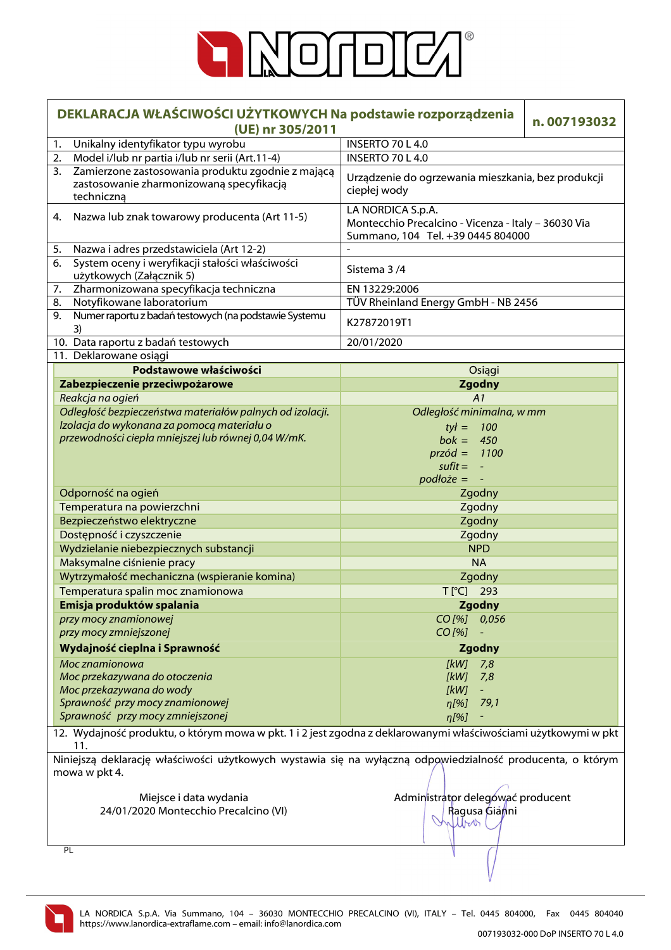

| DEKLARACJA WŁAŚCIWOŚCI UŻYTKOWYCH Na podstawie rozporządzenia<br>(UE) nr 305/2011 |                                                                                                                       |                                                                                                               | n.007193032 |
|-----------------------------------------------------------------------------------|-----------------------------------------------------------------------------------------------------------------------|---------------------------------------------------------------------------------------------------------------|-------------|
| 1.                                                                                | Unikalny identyfikator typu wyrobu                                                                                    | <b>INSERTO 70 L 4.0</b>                                                                                       |             |
| 2.                                                                                | Model i/lub nr partia i/lub nr serii (Art.11-4)                                                                       | <b>INSERTO 70 L 4.0</b>                                                                                       |             |
| 3.                                                                                | Zamierzone zastosowania produktu zgodnie z mającą<br>zastosowanie zharmonizowaną specyfikacją<br>techniczną           | Urządzenie do ogrzewania mieszkania, bez produkcji<br>ciepłej wody                                            |             |
|                                                                                   | 4. Nazwa lub znak towarowy producenta (Art 11-5)                                                                      | LA NORDICA S.p.A.<br>Montecchio Precalcino - Vicenza - Italy - 36030 Via<br>Summano, 104 Tel. +39 0445 804000 |             |
| 5.                                                                                | Nazwa i adres przedstawiciela (Art 12-2)                                                                              |                                                                                                               |             |
| 6.                                                                                | System oceny i weryfikacji stałości właściwości<br>użytkowych (Załącznik 5)                                           | Sistema 3/4                                                                                                   |             |
| 7.                                                                                | Zharmonizowana specyfikacja techniczna                                                                                | EN 13229:2006                                                                                                 |             |
| 8.                                                                                | Notyfikowane laboratorium                                                                                             | TÜV Rheinland Energy GmbH - NB 2456                                                                           |             |
| 9.                                                                                | Numer raportu z badań testowych (na podstawie Systemu<br>3)                                                           | K27872019T1                                                                                                   |             |
|                                                                                   | 10. Data raportu z badań testowych                                                                                    | 20/01/2020                                                                                                    |             |
|                                                                                   | 11. Deklarowane osiągi                                                                                                |                                                                                                               |             |
|                                                                                   | Podstawowe właściwości                                                                                                | Osiągi                                                                                                        |             |
|                                                                                   | Zabezpieczenie przeciwpożarowe                                                                                        | <b>Zgodny</b>                                                                                                 |             |
|                                                                                   | Reakcja na ogień                                                                                                      | A1                                                                                                            |             |
|                                                                                   | Odległość bezpieczeństwa materiałów palnych od izolacji.                                                              | Odległość minimalna, w mm                                                                                     |             |
|                                                                                   | Izolacja do wykonana za pomocą materiału o                                                                            | $tył = 100$                                                                                                   |             |
|                                                                                   | przewodności ciepła mniejszej lub równej 0,04 W/mK.                                                                   | $bok = 450$                                                                                                   |             |
|                                                                                   |                                                                                                                       | $przód = 1100$                                                                                                |             |
|                                                                                   |                                                                                                                       | $s$ ufit =                                                                                                    |             |
|                                                                                   |                                                                                                                       | $podłoże =$                                                                                                   |             |
|                                                                                   | Odporność na ogień                                                                                                    | Zgodny                                                                                                        |             |
|                                                                                   | Temperatura na powierzchni                                                                                            | Zgodny                                                                                                        |             |
|                                                                                   | Bezpieczeństwo elektryczne                                                                                            | Zgodny                                                                                                        |             |
|                                                                                   | Dostępność i czyszczenie                                                                                              | Zgodny                                                                                                        |             |
|                                                                                   | Wydzielanie niebezpiecznych substancji                                                                                | <b>NPD</b>                                                                                                    |             |
|                                                                                   | Maksymalne ciśnienie pracy                                                                                            | <b>NA</b>                                                                                                     |             |
|                                                                                   | Wytrzymałość mechaniczna (wspieranie komina)                                                                          | Zgodny                                                                                                        |             |
|                                                                                   | Temperatura spalin moc znamionowa                                                                                     | T[°C] 293                                                                                                     |             |
|                                                                                   | Emisja produktów spalania                                                                                             | <b>Zgodny</b>                                                                                                 |             |
|                                                                                   | przy mocy znamionowej                                                                                                 | CO [%] 0,056                                                                                                  |             |
|                                                                                   | przy mocy zmniejszonej                                                                                                | $CO$ [%]                                                                                                      |             |
|                                                                                   | Wydajność cieplna i Sprawność                                                                                         | <b>Zgodny</b>                                                                                                 |             |
|                                                                                   | Moc znamionowa                                                                                                        | [kW]<br>7,8                                                                                                   |             |
|                                                                                   | Moc przekazywana do otoczenia                                                                                         | [kW]<br>7,8                                                                                                   |             |
|                                                                                   | Moc przekazywana do wody                                                                                              | [kW]                                                                                                          |             |
|                                                                                   | Sprawność przy mocy znamionowej<br>Sprawność przy mocy zmniejszonej                                                   | $\eta$ [%]<br>79,1                                                                                            |             |
|                                                                                   |                                                                                                                       | n[%]                                                                                                          |             |
|                                                                                   | 12. Wydajność produktu, o którym mowa w pkt. 1 i 2 jest zgodna z deklarowanymi właściwościami użytkowymi w pkt<br>11. |                                                                                                               |             |
|                                                                                   | Niniejszą deklarację właściwości użytkowych wystawia się na wyłączną odpowiedzialność producenta, o którym            |                                                                                                               |             |
|                                                                                   | mowa w pkt 4.                                                                                                         |                                                                                                               |             |
|                                                                                   |                                                                                                                       |                                                                                                               |             |
|                                                                                   | Miejsce i data wydania<br>24/01/2020 Montecchio Precalcino (VI)                                                       | Administrator delegówać producent<br>Ragusa Gianni                                                            |             |
|                                                                                   |                                                                                                                       | 1150                                                                                                          |             |
|                                                                                   |                                                                                                                       |                                                                                                               |             |
|                                                                                   | PL                                                                                                                    |                                                                                                               |             |
|                                                                                   |                                                                                                                       |                                                                                                               |             |